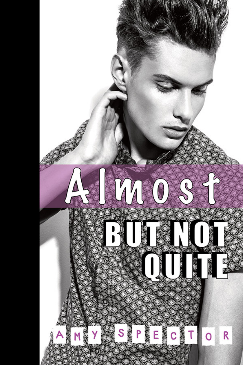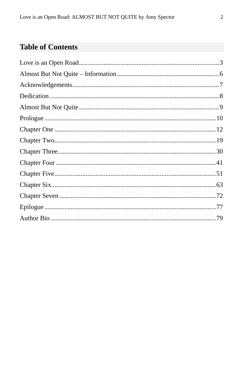## **Table of Contents**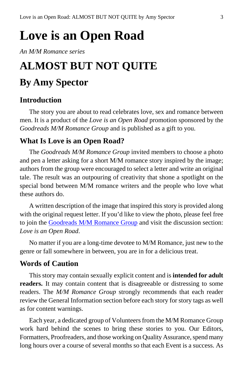# <span id="page-2-0"></span>**Love is an Open Road**

*An M/M Romance series*

# **ALMOST BUT NOT QUITE**

## **By Amy Spector**

## **Introduction**

The story you are about to read celebrates love, sex and romance between men. It is a product of the *Love is an Open Road* promotion sponsored by the *Goodreads M/M Romance Group* and is published as a gift to you.

## **What Is Love is an Open Road?**

The *Goodreads M/M Romance Group* invited members to choose a photo and pen a letter asking for a short M/M romance story inspired by the image; authors from the group were encouraged to select a letter and write an original tale. The result was an outpouring of creativity that shone a spotlight on the special bond between M/M romance writers and the people who love what these authors do.

A written description of the image that inspired this story is provided along with the original request letter. If you'd like to view the photo, please feel free to join the [Goodreads M/M Romance Group](http://www.goodreads.com/group/show/20149-m-m-romance) and visit the discussion section: *Love is an Open Road*.

No matter if you are a long-time devotee to M/M Romance, just new to the genre or fall somewhere in between, you are in for a delicious treat.

#### **Words of Caution**

This story may contain sexually explicit content and is **intended for adult readers.** It may contain content that is disagreeable or distressing to some readers. The *M/M Romance Group* strongly recommends that each reader review the General Information section before each story for story tags as well as for content warnings.

Each year, a dedicated group of Volunteers from the M/M Romance Group work hard behind the scenes to bring these stories to you. Our Editors, Formatters, Proofreaders, and those working on Quality Assurance, spend many long hours over a course of several months so that each Event is a success. As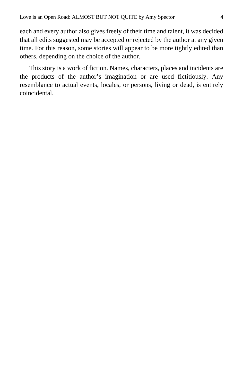each and every author also gives freely of their time and talent, it was decided that all edits suggested may be accepted or rejected by the author at any given time. For this reason, some stories will appear to be more tightly edited than others, depending on the choice of the author.

This story is a work of fiction. Names, characters, places and incidents are the products of the author's imagination or are used fictitiously. Any resemblance to actual events, locales, or persons, living or dead, is entirely coincidental.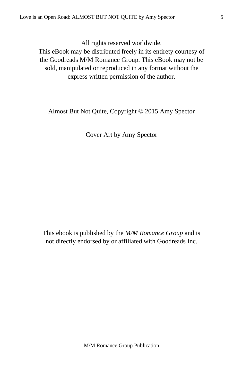All rights reserved worldwide.

This eBook may be distributed freely in its entirety courtesy of the Goodreads M/M Romance Group. This eBook may not be sold, manipulated or reproduced in any format without the express written permission of the author.

Almost But Not Quite, Copyright © 2015 Amy Spector

Cover Art by Amy Spector

This ebook is published by the *M/M Romance Group* and is not directly endorsed by or affiliated with Goodreads Inc.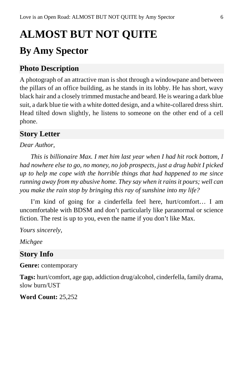# <span id="page-5-0"></span>**ALMOST BUT NOT QUITE By Amy Spector**

## **Photo Description**

A photograph of an attractive man is shot through a windowpane and between the pillars of an office building, as he stands in its lobby. He has short, wavy black hair and a closely trimmed mustache and beard. He is wearing a dark blue suit, a dark blue tie with a white dotted design, and a white-collared dress shirt. Head tilted down slightly, he listens to someone on the other end of a cell phone.

## **Story Letter**

## *Dear Author,*

*This is billionaire Max. I met him last year when I had hit rock bottom, I had nowhere else to go, no money, no job prospects, just a drug habit I picked up to help me cope with the horrible things that had happened to me since running away from my abusive home. They say when it rains it pours; well can you make the rain stop by bringing this ray of sunshine into my life?*

I'm kind of going for a cinderfella feel here, hurt/comfort… I am uncomfortable with BDSM and don't particularly like paranormal or science fiction. The rest is up to you, even the name if you don't like Max.

*Yours sincerely*,

*Michgee*

## **Story Info**

**Genre:** contemporary

**Tags:** hurt/comfort, age gap, addiction drug/alcohol, cinderfella, family drama, slow burn/UST

**Word Count:** 25,252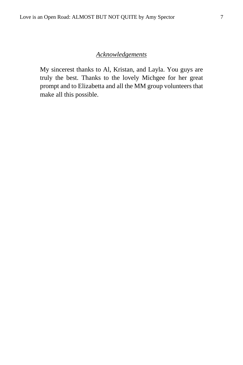## *Acknowledgements*

<span id="page-6-0"></span>My sincerest thanks to Al, Kristan, and Layla. You guys are truly the best. Thanks to the lovely Michgee for her great prompt and to Elizabetta and all the MM group volunteers that make all this possible.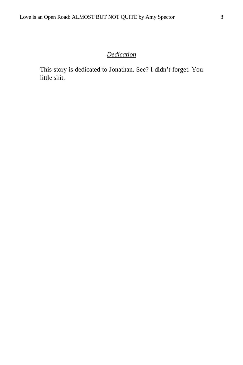## *Dedication*

<span id="page-7-0"></span>This story is dedicated to Jonathan. See? I didn't forget. You little shit.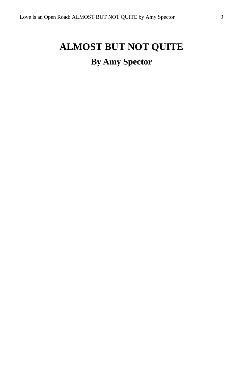## <span id="page-8-0"></span>**ALMOST BUT NOT QUITE By Amy Spector**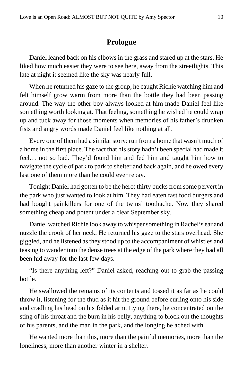## **Prologue**

<span id="page-9-0"></span>Daniel leaned back on his elbows in the grass and stared up at the stars. He liked how much easier they were to see here, away from the streetlights. This late at night it seemed like the sky was nearly full.

When he returned his gaze to the group, he caught Richie watching him and felt himself grow warm from more than the bottle they had been passing around. The way the other boy always looked at him made Daniel feel like something worth looking at. That feeling, something he wished he could wrap up and tuck away for those moments when memories of his father's drunken fists and angry words made Daniel feel like nothing at all.

Every one of them had a similar story: run from a home that wasn't much of a home in the first place. The fact that his story hadn't been special had made it feel… not so bad. They'd found him and fed him and taught him how to navigate the cycle of park to park to shelter and back again, and he owed every last one of them more than he could ever repay.

Tonight Daniel had gotten to be the hero: thirty bucks from some pervert in the park who just wanted to look at him. They had eaten fast food burgers and had bought painkillers for one of the twins' toothache. Now they shared something cheap and potent under a clear September sky.

Daniel watched Richie look away to whisper something in Rachel's ear and nuzzle the crook of her neck. He returned his gaze to the stars overhead. She giggled, and he listened as they stood up to the accompaniment of whistles and teasing to wander into the dense trees at the edge of the park where they had all been hid away for the last few days.

"Is there anything left?" Daniel asked, reaching out to grab the passing bottle.

He swallowed the remains of its contents and tossed it as far as he could throw it, listening for the thud as it hit the ground before curling onto his side and cradling his head on his folded arm. Lying there, he concentrated on the sting of his throat and the burn in his belly, anything to block out the thoughts of his parents, and the man in the park, and the longing he ached with.

He wanted more than this, more than the painful memories, more than the loneliness, more than another winter in a shelter.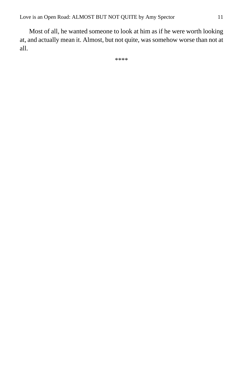Most of all, he wanted someone to look at him as if he were worth looking at, and actually mean it. Almost, but not quite, was somehow worse than not at all.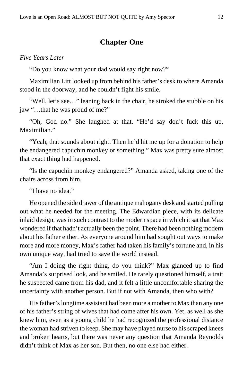## **Chapter One**

#### <span id="page-11-0"></span>*Five Years Later*

"Do you know what your dad would say right now?"

Maximilian Litt looked up from behind his father's desk to where Amanda stood in the doorway, and he couldn't fight his smile.

"Well, let's see…" leaning back in the chair, he stroked the stubble on his jaw "…that he was proud of me?"

"Oh, God no." She laughed at that. "He'd say don't fuck this up, Maximilian."

"Yeah, that sounds about right. Then he'd hit me up for a donation to help the endangered capuchin monkey or something." Max was pretty sure almost that exact thing had happened.

"Is the capuchin monkey endangered?" Amanda asked, taking one of the chairs across from him.

"I have no idea."

He opened the side drawer of the antique mahogany desk and started pulling out what he needed for the meeting. The Edwardian piece, with its delicate inlaid design, was in such contrast to the modern space in which it sat that Max wondered if that hadn't actually been the point. There had been nothing modern about his father either. As everyone around him had sought out ways to make more and more money, Max's father had taken his family's fortune and, in his own unique way, had tried to save the world instead.

"Am I doing the right thing, do you think?" Max glanced up to find Amanda's surprised look, and he smiled. He rarely questioned himself, a trait he suspected came from his dad, and it felt a little uncomfortable sharing the uncertainty with another person. But if not with Amanda, then who with?

His father's longtime assistant had been more a mother to Max than any one of his father's string of wives that had come after his own. Yet, as well as she knew him, even as a young child he had recognized the professional distance the woman had striven to keep. She may have played nurse to his scraped knees and broken hearts, but there was never any question that Amanda Reynolds didn't think of Max as her son. But then, no one else had either.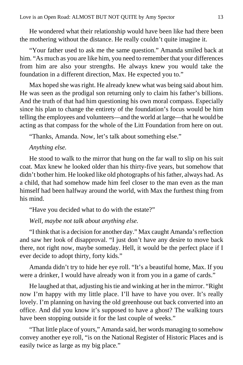He wondered what their relationship would have been like had there been the mothering without the distance. He really couldn't quite imagine it.

"Your father used to ask me the same question." Amanda smiled back at him. "As much as you are like him, you need to remember that your differences from him are also your strengths. He always knew you would take the foundation in a different direction, Max. He expected you to."

Max hoped she was right. He already knew what was being said about him. He was seen as the prodigal son returning only to claim his father's billions. And the truth of that had him questioning his own moral compass. Especially since his plan to change the entirety of the foundation's focus would be him telling the employees and volunteers—and the world at large—that he would be acting as that compass for the whole of the Litt Foundation from here on out.

"Thanks, Amanda. Now, let's talk about something else."

#### *Anything else.*

He stood to walk to the mirror that hung on the far wall to slip on his suit coat. Max knew he looked older than his thirty-five years, but somehow that didn't bother him. He looked like old photographs of his father, always had. As a child, that had somehow made him feel closer to the man even as the man himself had been halfway around the world, with Max the furthest thing from his mind.

"Have you decided what to do with the estate?"

#### *Well, maybe not talk about anything else.*

"I think that is a decision for another day." Max caught Amanda's reflection and saw her look of disapproval. "I just don't have any desire to move back there, not right now, maybe someday. Hell, it would be the perfect place if I ever decide to adopt thirty, forty kids."

Amanda didn't try to hide her eye roll. "It's a beautiful home, Max. If you were a drinker, I would have already won it from you in a game of cards."

He laughed at that, adjusting his tie and winking at her in the mirror. "Right now I'm happy with my little place. I'll have to have you over. It's really lovely. I'm planning on having the old greenhouse out back converted into an office. And did you know it's supposed to have a ghost? The walking tours have been stopping outside it for the last couple of weeks."

"That little place of yours," Amanda said, her words managing to somehow convey another eye roll, "is on the National Register of Historic Places and is easily twice as large as my big place."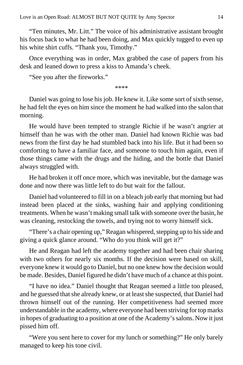"Ten minutes, Mr. Litt." The voice of his administrative assistant brought his focus back to what he had been doing, and Max quickly tugged to even up his white shirt cuffs. "Thank you, Timothy."

Once everything was in order, Max grabbed the case of papers from his desk and leaned down to press a kiss to Amanda's cheek.

"See you after the fireworks."

\*\*\*\*

Daniel was going to lose his job. He knew it. Like some sort of sixth sense, he had felt the eyes on him since the moment he had walked into the salon that morning.

He would have been tempted to strangle Richie if he wasn't angrier at himself than he was with the other man. Daniel had known Richie was bad news from the first day he had stumbled back into his life. But it had been so comforting to have a familiar face, and someone to touch him again, even if those things came with the drugs and the hiding, and the bottle that Daniel always struggled with.

He had broken it off once more, which was inevitable, but the damage was done and now there was little left to do but wait for the fallout.

Daniel had volunteered to fill in on a bleach job early that morning but had instead been placed at the sinks, washing hair and applying conditioning treatments. When he wasn't making small talk with someone over the basin, he was cleaning, restocking the towels, and trying not to worry himself sick.

"There's a chair opening up," Reagan whispered, stepping up to his side and giving a quick glance around. "Who do you think will get it?"

He and Reagan had left the academy together and had been chair sharing with two others for nearly six months. If the decision were based on skill, everyone knew it would go to Daniel, but no one knew how the decision would be made. Besides, Daniel figured he didn't have much of a chance at this point.

"I have no idea." Daniel thought that Reagan seemed a little too pleased, and he guessed that she already knew, or at least she suspected, that Daniel had thrown himself out of the running. Her competitiveness had seemed more understandable in the academy, where everyone had been striving for top marks in hopes of graduating to a position at one of the Academy's salons. Now it just pissed him off.

"Were you sent here to cover for my lunch or something?" He only barely managed to keep his tone civil.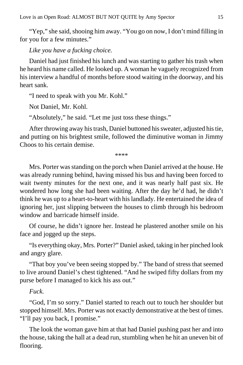"Yep," she said, shooing him away. "You go on now, I don't mind filling in for you for a few minutes."

*Like you have a fucking choice.*

Daniel had just finished his lunch and was starting to gather his trash when he heard his name called. He looked up. A woman he vaguely recognized from his interview a handful of months before stood waiting in the doorway, and his heart sank.

"I need to speak with you Mr. Kohl."

Not Daniel, Mr. Kohl.

"Absolutely," he said. "Let me just toss these things."

After throwing away his trash, Daniel buttoned his sweater, adjusted his tie, and putting on his brightest smile, followed the diminutive woman in Jimmy Choos to his certain demise.

\*\*\*\*

Mrs. Porter was standing on the porch when Daniel arrived at the house. He was already running behind, having missed his bus and having been forced to wait twenty minutes for the next one, and it was nearly half past six. He wondered how long she had been waiting. After the day he'd had, he didn't think he was up to a heart-to-heart with his landlady. He entertained the idea of ignoring her, just slipping between the houses to climb through his bedroom window and barricade himself inside.

Of course, he didn't ignore her. Instead he plastered another smile on his face and jogged up the steps.

"Is everything okay, Mrs. Porter?" Daniel asked, taking in her pinched look and angry glare.

"That boy you've been seeing stopped by." The band of stress that seemed to live around Daniel's chest tightened. "And he swiped fifty dollars from my purse before I managed to kick his ass out."

*Fuck.*

"God, I'm so sorry." Daniel started to reach out to touch her shoulder but stopped himself. Mrs. Porter was not exactly demonstrative at the best of times. "I'll pay you back, I promise."

The look the woman gave him at that had Daniel pushing past her and into the house, taking the hall at a dead run, stumbling when he hit an uneven bit of flooring.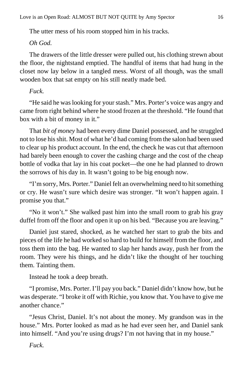The utter mess of his room stopped him in his tracks.

#### *Oh God.*

The drawers of the little dresser were pulled out, his clothing strewn about the floor, the nightstand emptied. The handful of items that had hung in the closet now lay below in a tangled mess. Worst of all though, was the small wooden box that sat empty on his still neatly made bed.

#### *Fuck.*

"He said he was looking for your stash." Mrs. Porter's voice was angry and came from right behind where he stood frozen at the threshold. "He found that box with a bit of money in it."

That *bit of money* had been every dime Daniel possessed, and he struggled not to lose his shit. Most of what he'd had coming from the salon had been used to clear up his product account. In the end, the check he was cut that afternoon had barely been enough to cover the cashing charge and the cost of the cheap bottle of vodka that lay in his coat pocket—the one he had planned to drown the sorrows of his day in. It wasn't going to be big enough now.

"I'm sorry, Mrs. Porter." Daniel felt an overwhelming need to hit something or cry. He wasn't sure which desire was stronger. "It won't happen again. I promise you that."

"No it won't." She walked past him into the small room to grab his gray duffel from off the floor and open it up on his bed. "Because you are leaving."

Daniel just stared, shocked, as he watched her start to grab the bits and pieces of the life he had worked so hard to build for himself from the floor, and toss them into the bag. He wanted to slap her hands away, push her from the room. They were his things, and he didn't like the thought of her touching them. Tainting them.

Instead he took a deep breath.

"I promise, Mrs. Porter. I'll pay you back." Daniel didn't know how, but he was desperate. "I broke it off with Richie, you know that. You have to give me another chance."

"Jesus Christ, Daniel. It's not about the money. My grandson was in the house." Mrs. Porter looked as mad as he had ever seen her, and Daniel sank into himself. "And you're using drugs? I'm not having that in my house."

*Fuck.*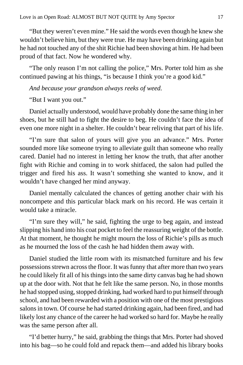"But they weren't even mine." He said the words even though he knew she wouldn't believe him, but they were true. He may have been drinking again but he had not touched any of the shit Richie had been shoving at him. He had been proud of that fact. Now he wondered why.

"The only reason I'm not calling the police," Mrs. Porter told him as she continued pawing at his things, "is because I think you're a good kid."

*And because your grandson always reeks of weed.*

"But I want you out."

Daniel actually understood, would have probably done the same thing in her shoes, but he still had to fight the desire to beg. He couldn't face the idea of even one more night in a shelter. He couldn't bear reliving that part of his life.

"I'm sure that salon of yours will give you an advance." Mrs. Porter sounded more like someone trying to alleviate guilt than someone who really cared. Daniel had no interest in letting her know the truth, that after another fight with Richie and coming in to work shitfaced, the salon had pulled the trigger and fired his ass. It wasn't something she wanted to know, and it wouldn't have changed her mind anyway.

Daniel mentally calculated the chances of getting another chair with his noncompete and this particular black mark on his record. He was certain it would take a miracle.

"I'm sure they will," he said, fighting the urge to beg again, and instead slipping his hand into his coat pocket to feel the reassuring weight of the bottle. At that moment, he thought he might mourn the loss of Richie's pills as much as he mourned the loss of the cash he had hidden them away with.

Daniel studied the little room with its mismatched furniture and his few possessions strewn across the floor. It was funny that after more than two years he could likely fit all of his things into the same dirty canvas bag he had shown up at the door with. Not that he felt like the same person. No, in those months he had stopped using, stopped drinking, had worked hard to put himself through school, and had been rewarded with a position with one of the most prestigious salons in town. Of course he had started drinking again, had been fired, and had likely lost any chance of the career he had worked so hard for. Maybe he really was the same person after all.

"I'd better hurry," he said, grabbing the things that Mrs. Porter had shoved into his bag—so he could fold and repack them—and added his library books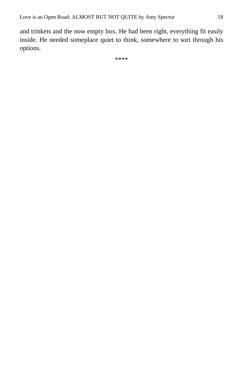and trinkets and the now empty box. He had been right, everything fit easily inside. He needed someplace quiet to think, somewhere to sort through his options.

\*\*\*\*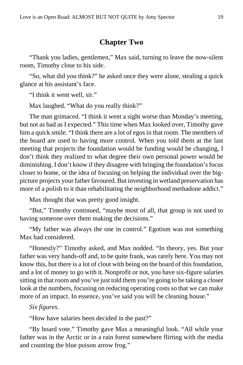### **Chapter Two**

<span id="page-18-0"></span>"Thank you ladies, gentlemen," Max said, turning to leave the now-silent room, Timothy close to his side.

"So, what did you think?" he asked once they were alone, stealing a quick glance at his assistant's face.

"I think it went well, sir."

Max laughed. "What do you really think?"

The man grimaced. "I think it went a sight worse than Monday's meeting, but not as bad as I expected." This time when Max looked over, Timothy gave him a quick smile. "I think there are a lot of egos in that room. The members of the board are used to having more control. When you told them at the last meeting that projects the foundation would be funding would be changing, I don't think they realized to what degree their own personal power would be diminishing. I don't know if they disagree with bringing the foundation's focus closer to home, or the idea of focusing on helping the individual over the bigpicture projects your father favoured. But investing in wetland preservation has more of a polish to it than rehabilitating the neighborhood methadone addict."

Max thought that was pretty good insight.

"But," Timothy continued, "maybe most of all, that group is not used to having someone over them making the decisions."

"My father was always the one in control." Egotism was not something Max had considered.

"Honestly?" Timothy asked, and Max nodded. "In theory, yes. But your father was very hands-off and, to be quite frank, was rarely here. You may not know this, but there is a lot of clout with being on the board of this foundation, and a lot of money to go with it. Nonprofit or not, you have six-figure salaries sitting in that room and you've just told them you're going to be taking a closer look at the numbers, focusing on reducing operating costs so that we can make more of an impact. In essence, you've said you will be cleaning house."

#### *Six figures.*

"How have salaries been decided in the past?"

"By board vote." Timothy gave Max a meaningful look. "All while your father was in the Arctic or in a rain forest somewhere flirting with the media and counting the blue poison arrow frog."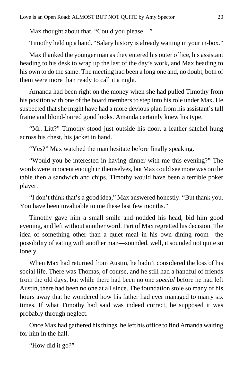Max thought about that. "Could you please—"

Timothy held up a hand. "Salary history is already waiting in your in-box."

Max thanked the younger man as they entered his outer office, his assistant heading to his desk to wrap up the last of the day's work, and Max heading to his own to do the same. The meeting had been a long one and, no doubt, both of them were more than ready to call it a night.

Amanda had been right on the money when she had pulled Timothy from his position with one of the board members to step into his role under Max. He suspected that she might have had a more devious plan from his assistant's tall frame and blond-haired good looks. Amanda certainly knew his type.

"Mr. Litt?" Timothy stood just outside his door, a leather satchel hung across his chest, his jacket in hand.

"Yes?" Max watched the man hesitate before finally speaking.

"Would you be interested in having dinner with me this evening?" The words were innocent enough in themselves, but Max could see more was on the table then a sandwich and chips. Timothy would have been a terrible poker player.

"I don't think that's a good idea," Max answered honestly. "But thank you. You have been invaluable to me these last few months."

Timothy gave him a small smile and nodded his head, bid him good evening, and left without another word. Part of Max regretted his decision. The idea of something other than a quiet meal in his own dining room—the possibility of eating with another man—sounded, well, it sounded not quite so lonely.

When Max had returned from Austin, he hadn't considered the loss of his social life. There was Thomas, of course, and he still had a handful of friends from the old days, but while there had been no one *special* before he had left Austin, there had been no one at all since. The foundation stole so many of his hours away that he wondered how his father had ever managed to marry six times. If what Timothy had said was indeed correct, he supposed it was probably through neglect.

Once Max had gathered his things, he left his office to find Amanda waiting for him in the hall.

"How did it go?"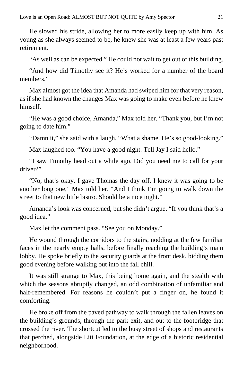He slowed his stride, allowing her to more easily keep up with him. As young as she always seemed to be, he knew she was at least a few years past retirement.

"As well as can be expected." He could not wait to get out of this building.

"And how did Timothy see it? He's worked for a number of the board members."

Max almost got the idea that Amanda had swiped him for that very reason, as if she had known the changes Max was going to make even before he knew himself.

"He was a good choice, Amanda," Max told her. "Thank you, but I'm not going to date him."

"Damn it," she said with a laugh. "What a shame. He's so good-looking."

Max laughed too. "You have a good night. Tell Jay I said hello."

"I saw Timothy head out a while ago. Did you need me to call for your driver?"

"No, that's okay. I gave Thomas the day off. I knew it was going to be another long one," Max told her. "And I think I'm going to walk down the street to that new little bistro. Should be a nice night."

Amanda's look was concerned, but she didn't argue. "If you think that's a good idea."

Max let the comment pass. "See you on Monday."

He wound through the corridors to the stairs, nodding at the few familiar faces in the nearly empty halls, before finally reaching the building's main lobby. He spoke briefly to the security guards at the front desk, bidding them good evening before walking out into the fall chill.

It was still strange to Max, this being home again, and the stealth with which the seasons abruptly changed, an odd combination of unfamiliar and half-remembered. For reasons he couldn't put a finger on, he found it comforting.

He broke off from the paved pathway to walk through the fallen leaves on the building's grounds, through the park exit, and out to the footbridge that crossed the river. The shortcut led to the busy street of shops and restaurants that perched, alongside Litt Foundation, at the edge of a historic residential neighborhood.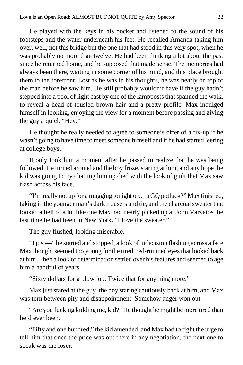He played with the keys in his pocket and listened to the sound of his footsteps and the water underneath his feet. He recalled Amanda taking him over, well, not this bridge but the one that had stood in this very spot, when he was probably no more than twelve. He had been thinking a lot about the past since he returned home, and he supposed that made sense. The memories had always been there, waiting in some corner of his mind, and this place brought them to the forefront. Lost as he was in his thoughts, he was nearly on top of the man before he saw him. He still probably wouldn't have if the guy hadn't stepped into a pool of light cast by one of the lampposts that spanned the walk, to reveal a head of tousled brown hair and a pretty profile. Max indulged himself in looking, enjoying the view for a moment before passing and giving the guy a quick "Hey."

He thought he really needed to agree to someone's offer of a fix-up if he wasn't going to have time to meet someone himself and if he had started leering at college boys.

It only took him a moment after he passed to realize that he was being followed. He turned around and the boy froze, staring at him, and any hope the kid was going to try chatting him up died with the look of guilt that Max saw flash across his face.

"I'm really not up for a mugging tonight or… a GQ potluck?" Max finished, taking in the younger man's dark trousers and tie, and the charcoal sweater that looked a hell of a lot like one Max had nearly picked up at John Varvatos the last time he had been in New York. "I love the sweater."

The guy flushed, looking miserable.

"I just—" he started and stopped, a look of indecision flashing across a face Max thought seemed too young for the tired, red-rimmed eyes that looked back at him. Then a look of determination settled over his features and seemed to age him a handful of years.

"Sixty dollars for a blow job. Twice that for anything more."

Max just stared at the guy, the boy staring cautiously back at him, and Max was torn between pity and disappointment. Somehow anger won out.

"Are you fucking kidding me, kid?" He thought he might be more tired than he'd ever been.

"Fifty and one hundred," the kid amended, and Max had to fight the urge to tell him that once the price was out there in any negotiation, the next one to speak was the loser.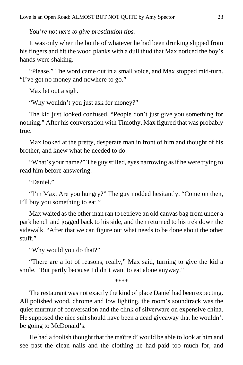*You're not here to give prostitution tips.*

It was only when the bottle of whatever he had been drinking slipped from his fingers and hit the wood planks with a dull thud that Max noticed the boy's hands were shaking.

"Please." The word came out in a small voice, and Max stopped mid-turn. "I've got no money and nowhere to go."

Max let out a sigh.

"Why wouldn't you just ask for money?"

The kid just looked confused. "People don't just give you something for nothing." After his conversation with Timothy, Max figured that was probably true.

Max looked at the pretty, desperate man in front of him and thought of his brother, and knew what he needed to do.

"What's your name?" The guy stilled, eyes narrowing as if he were trying to read him before answering.

"Daniel."

"I'm Max. Are you hungry?" The guy nodded hesitantly. "Come on then, I'll buy you something to eat."

Max waited as the other man ran to retrieve an old canvas bag from under a park bench and jogged back to his side, and then returned to his trek down the sidewalk. "After that we can figure out what needs to be done about the other stuff."

"Why would you do that?"

"There are a lot of reasons, really," Max said, turning to give the kid a smile. "But partly because I didn't want to eat alone anyway."

\*\*\*\*

The restaurant was not exactly the kind of place Daniel had been expecting. All polished wood, chrome and low lighting, the room's soundtrack was the quiet murmur of conversation and the clink of silverware on expensive china. He supposed the nice suit should have been a dead giveaway that he wouldn't be going to McDonald's.

He had a foolish thought that the maître d' would be able to look at him and see past the clean nails and the clothing he had paid too much for, and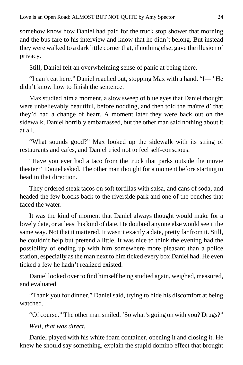somehow know how Daniel had paid for the truck stop shower that morning and the bus fare to his interview and know that he didn't belong. But instead they were walked to a dark little corner that, if nothing else, gave the illusion of privacy.

Still, Daniel felt an overwhelming sense of panic at being there.

"I can't eat here." Daniel reached out, stopping Max with a hand. "I—" He didn't know how to finish the sentence.

Max studied him a moment, a slow sweep of blue eyes that Daniel thought were unbelievably beautiful, before nodding, and then told the maître d' that they'd had a change of heart. A moment later they were back out on the sidewalk, Daniel horribly embarrassed, but the other man said nothing about it at all.

"What sounds good?" Max looked up the sidewalk with its string of restaurants and cafes, and Daniel tried not to feel self-conscious.

"Have you ever had a taco from the truck that parks outside the movie theater?" Daniel asked. The other man thought for a moment before starting to head in that direction.

They ordered steak tacos on soft tortillas with salsa, and cans of soda, and headed the few blocks back to the riverside park and one of the benches that faced the water.

It was the kind of moment that Daniel always thought would make for a lovely date, or at least his kind of date. He doubted anyone else would see it the same way. Not that it mattered. It wasn't exactly a date, pretty far from it. Still, he couldn't help but pretend a little. It was nice to think the evening had the possibility of ending up with him somewhere more pleasant than a police station, especially as the man next to him ticked every box Daniel had. He even ticked a few he hadn't realized existed.

Daniel looked over to find himself being studied again, weighed, measured, and evaluated.

"Thank you for dinner," Daniel said, trying to hide his discomfort at being watched.

"Of course." The other man smiled. 'So what's going on with you? Drugs?"

*Well, that was direct.*

Daniel played with his white foam container, opening it and closing it. He knew he should say something, explain the stupid domino effect that brought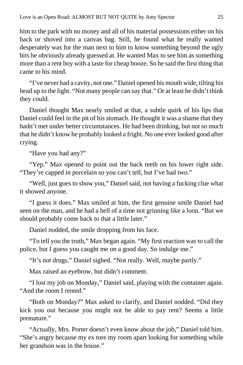him to the park with no money and all of his material possessions either on his back or shoved into a canvas bag. Still, he found what he really wanted desperately was for the man next to him to know something beyond the ugly bits he obviously already guessed at. He wanted Max to see him as something more than a rent boy with a taste for cheap booze. So he said the first thing that came to his mind.

"I've never had a cavity, not one." Daniel opened his mouth wide, tilting his head up to the light. "Not many people can say that." Or at least he didn't think they could.

Daniel thought Max nearly smiled at that, a subtle quirk of his lips that Daniel could feel in the pit of his stomach. He thought it was a shame that they hadn't met under better circumstances. He had been drinking, but not so much that he didn't know he probably looked a fright. No one ever looked good after crying.

"Have you had any?"

"Yep." Max opened to point out the back teeth on his lower right side. "They're capped in porcelain so you can't tell, but I've had two."

"Well, just goes to show you," Daniel said, not having a fucking clue what it showed anyone.

"I guess it does." Max smiled at him, the first genuine smile Daniel had seen on the man, and he had a hell of a time not grinning like a loon. "But we should probably come back to that a little later."

Daniel nodded, the smile dropping from his face.

"To tell you the truth," Max began again. "My first reaction was to call the police, but I guess you caught me on a good day. So indulge me."

"It's not drugs." Daniel sighed. "Not really. Well, maybe partly."

Max raised an eyebrow, but didn't comment.

"I lost my job on Monday," Daniel said, playing with the container again. "And the room I rented."

"Both on Monday?" Max asked to clarify, and Daniel nodded. "Did they kick you out because you might not be able to pay rent? Seems a little premature."

"Actually, Mrs. Porter doesn't even know about the job," Daniel told him. "She's angry because my ex tore my room apart looking for something while her grandson was in the house."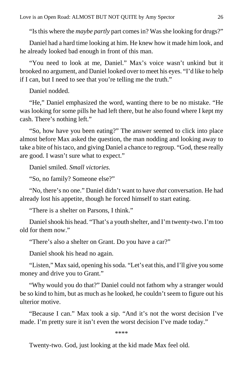"Is this where the *maybe partly* part comes in? Was she looking for drugs?"

Daniel had a hard time looking at him. He knew how it made him look, and he already looked bad enough in front of this man.

"You need to look at me, Daniel." Max's voice wasn't unkind but it brooked no argument, and Daniel looked over to meet his eyes. "I'd like to help if I can, but I need to see that you're telling me the truth."

Daniel nodded.

"He," Daniel emphasized the word, wanting there to be no mistake. "He was looking for some pills he had left there, but he also found where I kept my cash. There's nothing left."

"So, how have you been eating?" The answer seemed to click into place almost before Max asked the question, the man nodding and looking away to take a bite of his taco, and giving Daniel a chance to regroup. "God, these really are good. I wasn't sure what to expect."

Daniel smiled. *Small victories.*

"So, no family? Someone else?"

"No, there's no one." Daniel didn't want to have *that* conversation. He had already lost his appetite, though he forced himself to start eating.

"There is a shelter on Parsons, I think."

Daniel shook his head. "That's a youth shelter, and I'm twenty-two. I'm too old for them now."

"There's also a shelter on Grant. Do you have a car?"

Daniel shook his head no again.

"Listen," Max said, opening his soda. "Let's eat this, and I'll give you some money and drive you to Grant."

"Why would you do that?" Daniel could not fathom why a stranger would be so kind to him, but as much as he looked, he couldn't seem to figure out his ulterior motive.

"Because I can." Max took a sip. "And it's not the worst decision I've made. I'm pretty sure it isn't even the worst decision I've made today."

\*\*\*\*

Twenty-two. God, just looking at the kid made Max feel old.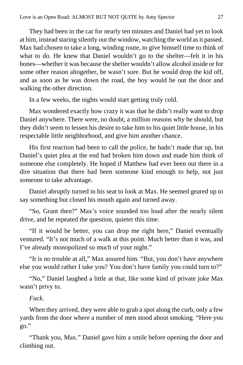They had been in the car for nearly ten minutes and Daniel had yet to look at him, instead staring silently out the window, watching the world as it passed. Max had chosen to take a long, winding route, to give himself time to think of what to do. He knew that Daniel wouldn't go to the shelter—felt it in his bones—whether it was because the shelter wouldn't allow alcohol inside or for some other reason altogether, he wasn't sure. But he would drop the kid off, and as soon as he was down the road, the boy would be out the door and walking the other direction.

In a few weeks, the nights would start getting truly cold.

Max wondered exactly how crazy it was that he didn't really want to drop Daniel anywhere. There were, no doubt, a million reasons why he should, but they didn't seem to lessen his desire to take him to his quiet little house, in his respectable little neighborhood, and give him another chance.

His first reaction had been to call the police, he hadn't made that up, but Daniel's quiet plea at the end had broken him down and made him think of someone else completely. He hoped if Matthew had ever been out there in a dire situation that there had been someone kind enough to help, not just someone to take advantage.

Daniel abruptly turned in his seat to look at Max. He seemed geared up to say something but closed his mouth again and turned away.

"So, Grant then?" Max's voice sounded too loud after the nearly silent drive, and he repeated the question, quieter this time.

"If it would be better, you can drop me right here," Daniel eventually ventured. "It's not much of a walk at this point. Much better than it was, and I've already monopolized so much of your night."

"It is no trouble at all," Max assured him. "But, you don't have anywhere else you would rather I take you? You don't have family you could turn to?"

"No," Daniel laughed a little at that, like some kind of private joke Max wasn't privy to.

#### *Fuck.*

When they arrived, they were able to grab a spot along the curb, only a few yards from the door where a number of men stood about smoking. "Here you go."

"Thank you, Max." Daniel gave him a smile before opening the door and climbing out.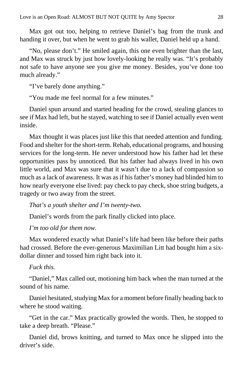Max got out too, helping to retrieve Daniel's bag from the trunk and handing it over, but when he went to grab his wallet, Daniel held up a hand.

"No, please don't." He smiled again, this one even brighter than the last, and Max was struck by just how lovely-looking he really was. "It's probably not safe to have anyone see you give me money. Besides, you've done too much already."

"I've barely done anything."

"You made me feel normal for a few minutes."

Daniel spun around and started heading for the crowd, stealing glances to see if Max had left, but he stayed, watching to see if Daniel actually even went inside.

Max thought it was places just like this that needed attention and funding. Food and shelter for the short-term. Rehab, educational programs, and housing services for the long-term. He never understood how his father had let these opportunities pass by unnoticed. But his father had always lived in his own little world, and Max was sure that it wasn't due to a lack of compassion so much as a lack of awareness. It was as if his father's money had blinded him to how nearly everyone else lived: pay check to pay check, shoe string budgets, a tragedy or two away from the street.

*That's a youth shelter and I'm twenty-two.*

Daniel's words from the park finally clicked into place.

*I'm too old for them now.*

Max wondered exactly what Daniel's life had been like before their paths had crossed. Before the ever-generous Maximilian Litt had bought him a sixdollar dinner and tossed him right back into it.

#### *Fuck this.*

"Daniel," Max called out, motioning him back when the man turned at the sound of his name.

Daniel hesitated, studying Max for a moment before finally heading back to where he stood waiting.

"Get in the car." Max practically growled the words. Then, he stopped to take a deep breath. "Please."

Daniel did, brows knitting, and turned to Max once he slipped into the driver's side.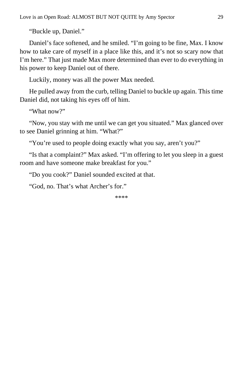"Buckle up, Daniel."

Daniel's face softened, and he smiled. "I'm going to be fine, Max. I know how to take care of myself in a place like this, and it's not so scary now that I'm here." That just made Max more determined than ever to do everything in his power to keep Daniel out of there.

Luckily, money was all the power Max needed.

He pulled away from the curb, telling Daniel to buckle up again. This time Daniel did, not taking his eyes off of him.

"What now?"

"Now, you stay with me until we can get you situated." Max glanced over to see Daniel grinning at him. "What?"

"You're used to people doing exactly what you say, aren't you?"

"Is that a complaint?" Max asked. "I'm offering to let you sleep in a guest room and have someone make breakfast for you."

"Do you cook?" Daniel sounded excited at that.

"God, no. That's what Archer's for."

\*\*\*\*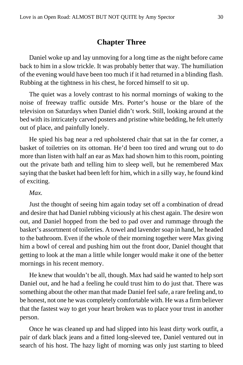## **Chapter Three**

<span id="page-29-0"></span>Daniel woke up and lay unmoving for a long time as the night before came back to him in a slow trickle. It was probably better that way. The humiliation of the evening would have been too much if it had returned in a blinding flash. Rubbing at the tightness in his chest, he forced himself to sit up.

The quiet was a lovely contrast to his normal mornings of waking to the noise of freeway traffic outside Mrs. Porter's house or the blare of the television on Saturdays when Daniel didn't work. Still, looking around at the bed with its intricately carved posters and pristine white bedding, he felt utterly out of place, and painfully lonely.

He spied his bag near a red upholstered chair that sat in the far corner, a basket of toiletries on its ottoman. He'd been too tired and wrung out to do more than listen with half an ear as Max had shown him to this room, pointing out the private bath and telling him to sleep well, but he remembered Max saying that the basket had been left for him, which in a silly way, he found kind of exciting.

#### *Max.*

Just the thought of seeing him again today set off a combination of dread and desire that had Daniel rubbing viciously at his chest again. The desire won out, and Daniel hopped from the bed to pad over and rummage through the basket's assortment of toiletries. A towel and lavender soap in hand, he headed to the bathroom. Even if the whole of their morning together were Max giving him a bowl of cereal and pushing him out the front door, Daniel thought that getting to look at the man a little while longer would make it one of the better mornings in his recent memory.

He knew that wouldn't be all, though. Max had said he wanted to help sort Daniel out, and he had a feeling he could trust him to do just that. There was something about the other man that made Daniel feel safe, a rare feeling and, to be honest, not one he was completely comfortable with. He was a firm believer that the fastest way to get your heart broken was to place your trust in another person.

Once he was cleaned up and had slipped into his least dirty work outfit, a pair of dark black jeans and a fitted long-sleeved tee, Daniel ventured out in search of his host. The hazy light of morning was only just starting to bleed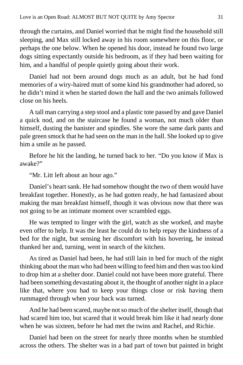through the curtains, and Daniel worried that he might find the household still sleeping, and Max still locked away in his room somewhere on this floor, or perhaps the one below. When he opened his door, instead he found two large dogs sitting expectantly outside his bedroom, as if they had been waiting for him, and a handful of people quietly going about their work.

Daniel had not been around dogs much as an adult, but he had fond memories of a wiry-haired mutt of some kind his grandmother had adored, so he didn't mind it when he started down the hall and the two animals followed close on his heels.

A tall man carrying a step stool and a plastic tote passed by and gave Daniel a quick nod, and on the staircase he found a woman, not much older than himself, dusting the banister and spindles. She wore the same dark pants and pale green smock that he had seen on the man in the hall. She looked up to give him a smile as he passed.

Before he hit the landing, he turned back to her. "Do you know if Max is awake?"

"Mr. Litt left about an hour ago."

Daniel's heart sank. He had somehow thought the two of them would have breakfast together. Honestly, as he had gotten ready, he had fantasized about making the man breakfast himself, though it was obvious now that there was not going to be an intimate moment over scrambled eggs.

He was tempted to linger with the girl, watch as she worked, and maybe even offer to help. It was the least he could do to help repay the kindness of a bed for the night, but sensing her discomfort with his hovering, he instead thanked her and, turning, went in search of the kitchen.

As tired as Daniel had been, he had still lain in bed for much of the night thinking about the man who had been willing to feed him and then was too kind to drop him at a shelter door. Daniel could not have been more grateful. There had been something devastating about it, the thought of another night in a place like that, where you had to keep your things close or risk having them rummaged through when your back was turned.

And he had been scared, maybe not so much of the shelter itself, though that had scared him too, but scared that it would break him like it had nearly done when he was sixteen, before he had met the twins and Rachel, and Richie.

Daniel had been on the street for nearly three months when he stumbled across the others. The shelter was in a bad part of town but painted in bright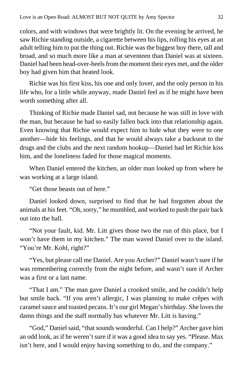colors, and with windows that were brightly lit. On the evening he arrived, he saw Richie standing outside, a cigarette between his lips, rolling his eyes at an adult telling him to put the thing out. Richie was the biggest boy there, tall and broad, and so much more like a man at seventeen than Daniel was at sixteen. Daniel had been head-over-heels from the moment their eyes met, and the older boy had given him that heated look.

Richie was his first kiss, his one and only lover, and the only person in his life who, for a little while anyway, made Daniel feel as if he might have been worth something after all.

Thinking of Richie made Daniel sad, not because he was still in love with the man, but because he had so easily fallen back into that relationship again. Even knowing that Richie would expect him to hide what they were to one another—hide his feelings, and that he would always take a backseat to the drugs and the clubs and the next random hookup—Daniel had let Richie kiss him, and the loneliness faded for those magical moments.

When Daniel entered the kitchen, an older man looked up from where he was working at a large island.

"Get those beasts out of here."

Daniel looked down, surprised to find that he had forgotten about the animals at his feet. "Oh, sorry," he mumbled, and worked to push the pair back out into the hall.

"Not your fault, kid. Mr. Litt gives those two the run of this place, but I won't have them in my kitchen." The man waved Daniel over to the island. "You're Mr. Kohl, right?"

"Yes, but please call me Daniel. Are you Archer?" Daniel wasn't sure if he was remembering correctly from the night before, and wasn't sure if Archer was a first or a last name.

"That I am." The man gave Daniel a crooked smile, and he couldn't help but smile back. "If you aren't allergic, I was planning to make crêpes with caramel sauce and toasted pecans. It's our girl Megan's birthday. She loves the damn things and the staff normally has whatever Mr. Litt is having."

"God," Daniel said, "that sounds wonderful. Can I help?" Archer gave him an odd look, as if he weren't sure if it was a good idea to say yes. "Please. Max isn't here, and I would enjoy having something to do, and the company."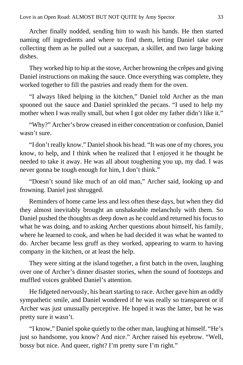Archer finally nodded, sending him to wash his hands. He then started naming off ingredients and where to find them, letting Daniel take over collecting them as he pulled out a saucepan, a skillet, and two large baking dishes.

They worked hip to hip at the stove, Archer browning the crêpes and giving Daniel instructions on making the sauce. Once everything was complete, they worked together to fill the pastries and ready them for the oven.

"I always liked helping in the kitchen," Daniel told Archer as the man spooned out the sauce and Daniel sprinkled the pecans. "I used to help my mother when I was really small, but when I got older my father didn't like it."

"Why?" Archer's brow creased in either concentration or confusion, Daniel wasn't sure.

"I don't really know." Daniel shook his head. "It was one of my chores, you know, to help, and I think when he realized that I enjoyed it he thought he needed to take it away. He was all about toughening you up, my dad. I was never gonna be tough enough for him, I don't think."

"Doesn't sound like much of an old man," Archer said, looking up and frowning. Daniel just shrugged.

Reminders of home came less and less often these days, but when they did they almost inevitably brought an unshakeable melancholy with them. So Daniel pushed the thoughts as deep down as he could and returned his focus to what he was doing, and to asking Archer questions about himself, his family, where he learned to cook, and when he had decided it was what he wanted to do. Archer became less gruff as they worked, appearing to warm to having company in the kitchen, or at least the help.

They were sitting at the island together, a first batch in the oven, laughing over one of Archer's dinner disaster stories, when the sound of footsteps and muffled voices grabbed Daniel's attention.

He fidgeted nervously, his heart starting to race. Archer gave him an oddly sympathetic smile, and Daniel wondered if he was really so transparent or if Archer was just unusually perceptive. He hoped it was the latter, but he was pretty sure it wasn't.

"I know," Daniel spoke quietly to the other man, laughing at himself. "He's just so handsome, you know? And nice." Archer raised his eyebrow. "Well, bossy but nice. And queer, right? I'm pretty sure I'm right."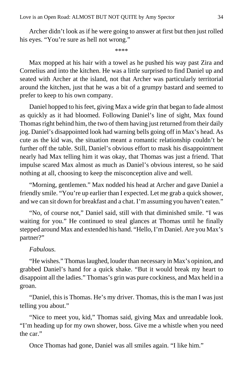Archer didn't look as if he were going to answer at first but then just rolled his eyes. "You're sure as hell not wrong."

\*\*\*\*

Max mopped at his hair with a towel as he pushed his way past Zira and Cornelius and into the kitchen. He was a little surprised to find Daniel up and seated with Archer at the island, not that Archer was particularly territorial around the kitchen, just that he was a bit of a grumpy bastard and seemed to prefer to keep to his own company.

Daniel hopped to his feet, giving Max a wide grin that began to fade almost as quickly as it had bloomed. Following Daniel's line of sight, Max found Thomas right behind him, the two of them having just returned from their daily jog. Daniel's disappointed look had warning bells going off in Max's head. As cute as the kid was, the situation meant a romantic relationship couldn't be further off the table. Still, Daniel's obvious effort to mask his disappointment nearly had Max telling him it was okay, that Thomas was just a friend. That impulse scared Max almost as much as Daniel's obvious interest, so he said nothing at all, choosing to keep the misconception alive and well.

"Morning, gentlemen." Max nodded his head at Archer and gave Daniel a friendly smile. "You're up earlier than I expected. Let me grab a quick shower, and we can sit down for breakfast and a chat. I'm assuming you haven't eaten."

"No, of course not," Daniel said, still with that diminished smile. "I was waiting for you." He continued to steal glances at Thomas until he finally stepped around Max and extended his hand. "Hello, I'm Daniel. Are you Max's partner?"

#### *Fabulous.*

"He wishes." Thomas laughed, louder than necessary in Max's opinion, and grabbed Daniel's hand for a quick shake. "But it would break my heart to disappoint all the ladies." Thomas's grin was pure cockiness, and Max held in a groan.

"Daniel, this is Thomas. He's my driver. Thomas, this is the man I was just telling you about."

"Nice to meet you, kid," Thomas said, giving Max and unreadable look. "I'm heading up for my own shower, boss. Give me a whistle when you need the car."

Once Thomas had gone, Daniel was all smiles again. "I like him."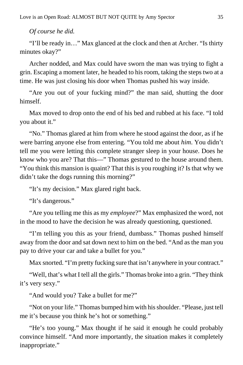*Of course he did.*

"I'll be ready in…" Max glanced at the clock and then at Archer. "Is thirty minutes okay?"

Archer nodded, and Max could have sworn the man was trying to fight a grin. Escaping a moment later, he headed to his room, taking the steps two at a time. He was just closing his door when Thomas pushed his way inside.

"Are you out of your fucking mind?" the man said, shutting the door himself.

Max moved to drop onto the end of his bed and rubbed at his face. "I told you about it."

"No." Thomas glared at him from where he stood against the door, as if he were barring anyone else from entering. "You told me about *him*. You didn't tell me you were letting this complete stranger sleep in your house. Does he know who you are? That this—" Thomas gestured to the house around them. "You think this mansion is quaint? That this is you roughing it? Is that why we didn't take the dogs running this morning?"

"It's my decision." Max glared right back.

"It's dangerous."

"Are you telling me this as my *employee*?" Max emphasized the word, not in the mood to have the decision he was already questioning, questioned.

"I'm telling you this as your friend, dumbass." Thomas pushed himself away from the door and sat down next to him on the bed. "And as the man you pay to drive your car and take a bullet for you."

Max snorted. "I'm pretty fucking sure that isn't anywhere in your contract."

"Well, that's what I tell all the girls." Thomas broke into a grin. "They think it's very sexy."

"And would you? Take a bullet for me?"

"Not on your life." Thomas bumped him with his shoulder. "Please, just tell me it's because you think he's hot or something."

"He's too young." Max thought if he said it enough he could probably convince himself. "And more importantly, the situation makes it completely inappropriate."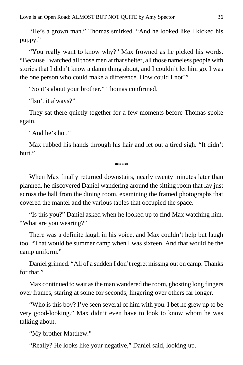"He's a grown man." Thomas smirked. "And he looked like I kicked his puppy."

"You really want to know why?" Max frowned as he picked his words. "Because I watched all those men at that shelter, all those nameless people with stories that I didn't know a damn thing about, and I couldn't let him go. I was the one person who could make a difference. How could I not?"

"So it's about your brother." Thomas confirmed.

"Isn't it always?"

They sat there quietly together for a few moments before Thomas spoke again.

"And he's hot."

Max rubbed his hands through his hair and let out a tired sigh. "It didn't hurt."

\*\*\*\*

When Max finally returned downstairs, nearly twenty minutes later than planned, he discovered Daniel wandering around the sitting room that lay just across the hall from the dining room, examining the framed photographs that covered the mantel and the various tables that occupied the space.

"Is this you?" Daniel asked when he looked up to find Max watching him. "What are you wearing?"

There was a definite laugh in his voice, and Max couldn't help but laugh too. "That would be summer camp when I was sixteen. And that would be the camp uniform."

Daniel grinned. "All of a sudden I don't regret missing out on camp. Thanks for that."

Max continued to wait as the man wandered the room, ghosting long fingers over frames, staring at some for seconds, lingering over others far longer.

"Who is this boy? I've seen several of him with you. I bet he grew up to be very good-looking." Max didn't even have to look to know whom he was talking about.

"My brother Matthew."

"Really? He looks like your negative," Daniel said, looking up.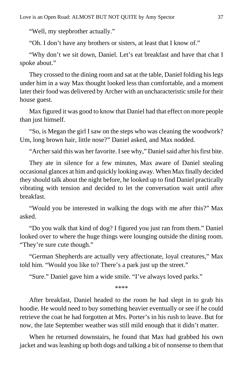"Well, my stepbrother actually."

"Oh. I don't have any brothers or sisters, at least that I know of."

"Why don't we sit down, Daniel. Let's eat breakfast and have that chat I spoke about."

They crossed to the dining room and sat at the table, Daniel folding his legs under him in a way Max thought looked less than comfortable, and a moment later their food was delivered by Archer with an uncharacteristic smile for their house guest.

Max figured it was good to know that Daniel had that effect on more people than just himself.

"So, is Megan the girl I saw on the steps who was cleaning the woodwork? Um, long brown hair, little nose?" Daniel asked, and Max nodded.

"Archer said this was her favorite. I see why," Daniel said after his first bite.

They ate in silence for a few minutes, Max aware of Daniel stealing occasional glances at him and quickly looking away. When Max finally decided they should talk about the night before, he looked up to find Daniel practically vibrating with tension and decided to let the conversation wait until after breakfast.

"Would you be interested in walking the dogs with me after this?" Max asked.

"Do you walk that kind of dog? I figured you just ran from them." Daniel looked over to where the huge things were lounging outside the dining room. "They're sure cute though."

"German Shepherds are actually very affectionate, loyal creatures," Max told him. "Would you like to? There's a park just up the street."

"Sure." Daniel gave him a wide smile. "I've always loved parks."

\*\*\*\*

After breakfast, Daniel headed to the room he had slept in to grab his hoodie. He would need to buy something heavier eventually or see if he could retrieve the coat he had forgotten at Mrs. Porter's in his rush to leave. But for now, the late September weather was still mild enough that it didn't matter.

When he returned downstairs, he found that Max had grabbed his own jacket and was leashing up both dogs and talking a bit of nonsense to them that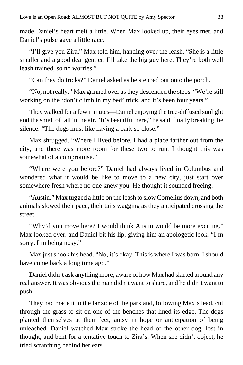made Daniel's heart melt a little. When Max looked up, their eyes met, and Daniel's pulse gave a little race.

"I'll give you Zira," Max told him, handing over the leash. "She is a little smaller and a good deal gentler. I'll take the big guy here. They're both well leash trained, so no worries."

"Can they do tricks?" Daniel asked as he stepped out onto the porch.

"No, not really." Max grinned over as they descended the steps. "We're still working on the 'don't climb in my bed' trick, and it's been four years."

They walked for a few minutes—Daniel enjoying the tree-diffused sunlight and the smell of fall in the air. "It's beautiful here," he said, finally breaking the silence. "The dogs must like having a park so close."

Max shrugged. "Where I lived before, I had a place farther out from the city, and there was more room for these two to run. I thought this was somewhat of a compromise."

"Where were you before?" Daniel had always lived in Columbus and wondered what it would be like to move to a new city, just start over somewhere fresh where no one knew you. He thought it sounded freeing.

"Austin." Max tugged a little on the leash to slow Cornelius down, and both animals slowed their pace, their tails wagging as they anticipated crossing the street.

"Why'd you move here? I would think Austin would be more exciting." Max looked over, and Daniel bit his lip, giving him an apologetic look. "I'm sorry. I'm being nosy."

Max just shook his head. "No, it's okay. This is where I was born. I should have come back a long time ago."

Daniel didn't ask anything more, aware of how Max had skirted around any real answer. It was obvious the man didn't want to share, and he didn't want to push.

They had made it to the far side of the park and, following Max's lead, cut through the grass to sit on one of the benches that lined its edge. The dogs planted themselves at their feet, antsy in hope or anticipation of being unleashed. Daniel watched Max stroke the head of the other dog, lost in thought, and bent for a tentative touch to Zira's. When she didn't object, he tried scratching behind her ears.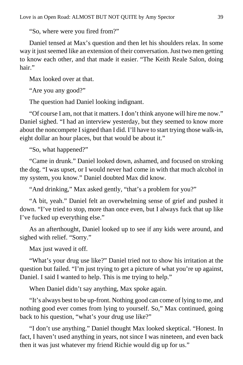"So, where were you fired from?"

Daniel tensed at Max's question and then let his shoulders relax. In some way it just seemed like an extension of their conversation. Just two men getting to know each other, and that made it easier. "The Keith Reale Salon, doing hair."

Max looked over at that.

"Are you any good?"

The question had Daniel looking indignant.

"Of course I am, not that it matters. I don't think anyone will hire me now." Daniel sighed. "I had an interview yesterday, but they seemed to know more about the noncompete I signed than I did. I'll have to start trying those walk-in, eight dollar an hour places, but that would be about it."

"So, what happened?"

"Came in drunk." Daniel looked down, ashamed, and focused on stroking the dog. "I was upset, or I would never had come in with that much alcohol in my system, you know." Daniel doubted Max did know.

"And drinking," Max asked gently, "that's a problem for you?"

"A bit, yeah." Daniel felt an overwhelming sense of grief and pushed it down. "I've tried to stop, more than once even, but I always fuck that up like I've fucked up everything else."

As an afterthought, Daniel looked up to see if any kids were around, and sighed with relief. "Sorry."

Max just waved it off.

"What's your drug use like?" Daniel tried not to show his irritation at the question but failed. "I'm just trying to get a picture of what you're up against, Daniel. I said I wanted to help. This is me trying to help."

When Daniel didn't say anything, Max spoke again.

"It's always best to be up-front. Nothing good can come of lying to me, and nothing good ever comes from lying to yourself. So," Max continued, going back to his question, "what's your drug use like?"

"I don't use anything." Daniel thought Max looked skeptical. "Honest. In fact, I haven't used anything in years, not since I was nineteen, and even back then it was just whatever my friend Richie would dig up for us."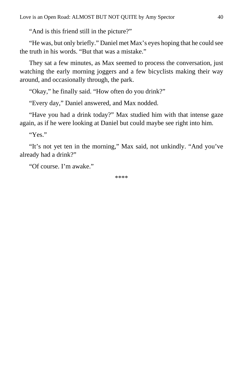"And is this friend still in the picture?"

"He was, but only briefly." Daniel met Max's eyes hoping that he could see the truth in his words. "But that was a mistake."

They sat a few minutes, as Max seemed to process the conversation, just watching the early morning joggers and a few bicyclists making their way around, and occasionally through, the park.

"Okay," he finally said. "How often do you drink?"

"Every day," Daniel answered, and Max nodded.

"Have you had a drink today?" Max studied him with that intense gaze again, as if he were looking at Daniel but could maybe see right into him.

"Yes."

"It's not yet ten in the morning," Max said, not unkindly. "And you've already had a drink?"

"Of course. I'm awake."

\*\*\*\*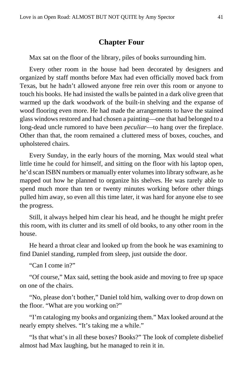### **Chapter Four**

Max sat on the floor of the library, piles of books surrounding him.

Every other room in the house had been decorated by designers and organized by staff months before Max had even officially moved back from Texas, but he hadn't allowed anyone free rein over this room or anyone to touch his books. He had insisted the walls be painted in a dark olive green that warmed up the dark woodwork of the built-in shelving and the expanse of wood flooring even more. He had made the arrangements to have the stained glass windows restored and had chosen a painting—one that had belonged to a long-dead uncle rumored to have been *peculiar*—to hang over the fireplace. Other than that, the room remained a cluttered mess of boxes, couches, and upholstered chairs.

Every Sunday, in the early hours of the morning, Max would steal what little time he could for himself, and sitting on the floor with his laptop open, he'd scan ISBN numbers or manually enter volumes into library software, as he mapped out how he planned to organize his shelves. He was rarely able to spend much more than ten or twenty minutes working before other things pulled him away, so even all this time later, it was hard for anyone else to see the progress.

Still, it always helped him clear his head, and he thought he might prefer this room, with its clutter and its smell of old books, to any other room in the house.

He heard a throat clear and looked up from the book he was examining to find Daniel standing, rumpled from sleep, just outside the door.

"Can I come in?"

"Of course," Max said, setting the book aside and moving to free up space on one of the chairs.

"No, please don't bother," Daniel told him, walking over to drop down on the floor. "What are you working on?"

"I'm cataloging my books and organizing them." Max looked around at the nearly empty shelves. "It's taking me a while."

"Is that what's in all these boxes? Books?" The look of complete disbelief almost had Max laughing, but he managed to rein it in.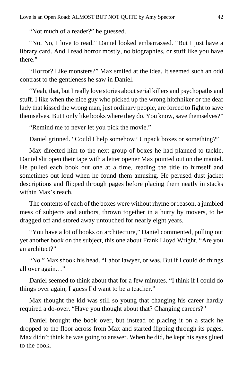"Not much of a reader?" he guessed.

"No. No, I love to read." Daniel looked embarrassed. "But I just have a library card. And I read horror mostly, no biographies, or stuff like you have there."

"Horror? Like monsters?" Max smiled at the idea. It seemed such an odd contrast to the gentleness he saw in Daniel.

"Yeah, that, but I really love stories about serial killers and psychopaths and stuff. I like when the nice guy who picked up the wrong hitchhiker or the deaf lady that kissed the wrong man, just ordinary people, are forced to fight to save themselves. But I only like books where they do. You know, save themselves?"

"Remind me to never let you pick the movie."

Daniel grinned. "Could I help somehow? Unpack boxes or something?"

Max directed him to the next group of boxes he had planned to tackle. Daniel slit open their tape with a letter opener Max pointed out on the mantel. He pulled each book out one at a time, reading the title to himself and sometimes out loud when he found them amusing. He perused dust jacket descriptions and flipped through pages before placing them neatly in stacks within Max's reach.

The contents of each of the boxes were without rhyme or reason, a jumbled mess of subjects and authors, thrown together in a hurry by movers, to be dragged off and stored away untouched for nearly eight years.

"You have a lot of books on architecture," Daniel commented, pulling out yet another book on the subject, this one about Frank Lloyd Wright. "Are you an architect?"

"No." Max shook his head. "Labor lawyer, or was. But if I could do things all over again…"

Daniel seemed to think about that for a few minutes. "I think if I could do things over again, I guess I'd want to be a teacher."

Max thought the kid was still so young that changing his career hardly required a do-over. "Have you thought about that? Changing careers?"

Daniel brought the book over, but instead of placing it on a stack he dropped to the floor across from Max and started flipping through its pages. Max didn't think he was going to answer. When he did, he kept his eyes glued to the book.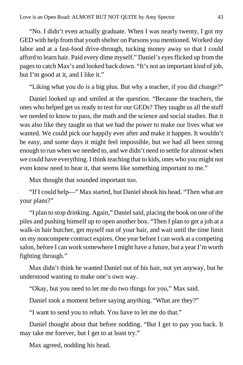"No. I didn't even actually graduate. When I was nearly twenty, I got my GED with help from that youth shelter on Parsons you mentioned. Worked day labor and at a fast-food drive-through, tucking money away so that I could afford to learn hair. Paid every dime myself." Daniel's eyes flicked up from the pages to catch Max's and looked back down. "It's not an important kind of job, but I'm good at it, and I like it."

"Liking what you do is a big plus. But why a teacher, if you did change?"

Daniel looked up and smiled at the question. "Because the teachers, the ones who helped get us ready to test for our GEDs? They taught us all the stuff we needed to know to pass, the math and the science and social studies. But it was also like they taught us that we had the power to make our lives what we wanted. We could pick our happily ever after and make it happen. It wouldn't be easy, and some days it might feel impossible, but we had all been strong enough to run when we needed to, and we didn't need to settle for almost when we could have everything. I think teaching that to kids, ones who you might not even know need to hear it, that seems like something important to me."

Max thought that sounded important too.

"If I could help—" Max started, but Daniel shook his head. "Then what are your plans?"

"I plan to stop drinking. Again," Daniel said, placing the book on one of the piles and pushing himself up to open another box. "Then I plan to get a job at a walk-in hair butcher, get myself out of your hair, and wait until the time limit on my noncompete contract expires. One year before I can work at a competing salon, before I can work somewhere I might have a future, but a year I'm worth fighting through."

Max didn't think he wanted Daniel out of his hair, not yet anyway, but he understood wanting to make one's own way.

"Okay, but you need to let me do two things for you," Max said.

Daniel took a moment before saying anything. "What are they?"

"I want to send you to rehab. You have to let me do that."

Daniel thought about that before nodding. "But I get to pay you back. It may take me forever, but I get to at least try."

Max agreed, nodding his head.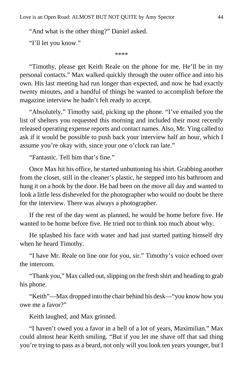"And what is the other thing?" Daniel asked.

"I'll let you know."

\*\*\*\*

"Timothy, please get Keith Reale on the phone for me. He'll be in my personal contacts." Max walked quickly through the outer office and into his own. His last meeting had run longer than expected, and now he had exactly twenty minutes, and a handful of things he wanted to accomplish before the magazine interview he hadn't felt ready to accept.

"Absolutely," Timothy said, picking up the phone. "I've emailed you the list of shelters you requested this morning and included their most recently released operating expense reports and contact names. Also, Mr. Ying called to ask if it would be possible to push back your interview half an hour, which I assume you're okay with, since your one o'clock ran late."

"Fantastic. Tell him that's fine."

Once Max hit his office, he started unbuttoning his shirt. Grabbing another from the closet, still in the cleaner's plastic, he stepped into his bathroom and hung it on a hook by the door. He had been on the move all day and wanted to look a little less disheveled for the photographer who would no doubt be there for the interview. There was always a photographer.

If the rest of the day went as planned, he would be home before five. He wanted to be home before five. He tried not to think too much about why.

He splashed his face with water and had just started patting himself dry when he heard Timothy.

"I have Mr. Reale on line one for you, sir." Timothy's voice echoed over the intercom.

"Thank you," Max called out, slipping on the fresh shirt and heading to grab his phone.

"Keith"—Max dropped into the chair behind his desk—"you know how you owe me a favor?"

Keith laughed, and Max grinned.

"I haven't owed you a favor in a hell of a lot of years, Maximilian." Max could almost hear Keith smiling. "But if you let me shave off that sad thing you're trying to pass as a beard, not only will you look ten years younger, but I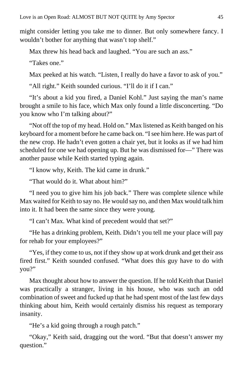might consider letting you take me to dinner. But only somewhere fancy. I wouldn't bother for anything that wasn't top shelf."

Max threw his head back and laughed. "You are such an ass."

"Takes one."

Max peeked at his watch. "Listen, I really do have a favor to ask of you."

"All right." Keith sounded curious. "I'll do it if I can."

"It's about a kid you fired, a Daniel Kohl." Just saying the man's name brought a smile to his face, which Max only found a little disconcerting. "Do you know who I'm talking about?"

"Not off the top of my head. Hold on." Max listened as Keith banged on his keyboard for a moment before he came back on. "I see him here. He was part of the new crop. He hadn't even gotten a chair yet, but it looks as if we had him scheduled for one we had opening up. But he was dismissed for—" There was another pause while Keith started typing again.

"I know why, Keith. The kid came in drunk."

"That would do it. What about him?"

"I need you to give him his job back." There was complete silence while Max waited for Keith to say no. He would say no, and then Max would talk him into it. It had been the same since they were young.

"I can't Max. What kind of precedent would that set?"

"He has a drinking problem, Keith. Didn't you tell me your place will pay for rehab for your employees?"

"Yes, if they come to us, not if they show up at work drunk and get their ass fired first." Keith sounded confused. "What does this guy have to do with you?"

Max thought about how to answer the question. If he told Keith that Daniel was practically a stranger, living in his house, who was such an odd combination of sweet and fucked up that he had spent most of the last few days thinking about him, Keith would certainly dismiss his request as temporary insanity.

"He's a kid going through a rough patch."

"Okay," Keith said, dragging out the word. "But that doesn't answer my question."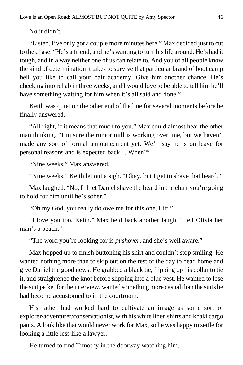No it didn't.

"Listen, I've only got a couple more minutes here." Max decided just to cut to the chase. "He's a friend, and he's wanting to turn his life around. He's had it tough, and in a way neither one of us can relate to. And you of all people know the kind of determination it takes to survive that particular brand of boot camp hell you like to call your hair academy. Give him another chance. He's checking into rehab in three weeks, and I would love to be able to tell him he'll have something waiting for him when it's all said and done."

Keith was quiet on the other end of the line for several moments before he finally answered.

"All right, if it means that much to you." Max could almost hear the other man thinking. "I'm sure the rumor mill is working overtime, but we haven't made any sort of formal announcement yet. We'll say he is on leave for personal reasons and is expected back… When?"

"Nine weeks," Max answered.

"Nine weeks." Keith let out a sigh. "Okay, but I get to shave that beard."

Max laughed. "No, I'll let Daniel shave the beard in the chair you're going to hold for him until he's sober."

"Oh my God, you really do owe me for this one, Litt."

"I love you too, Keith." Max held back another laugh. "Tell Olivia her man's a peach."

"The word you're looking for is *pushover*, and she's well aware."

Max hopped up to finish buttoning his shirt and couldn't stop smiling. He wanted nothing more than to skip out on the rest of the day to head home and give Daniel the good news. He grabbed a black tie, flipping up his collar to tie it, and straightened the knot before slipping into a blue vest. He wanted to lose the suit jacket for the interview, wanted something more casual than the suits he had become accustomed to in the courtroom.

His father had worked hard to cultivate an image as some sort of explorer/adventurer/conservationist, with his white linen shirts and khaki cargo pants. A look like that would never work for Max, so he was happy to settle for looking a little less like a lawyer.

He turned to find Timothy in the doorway watching him.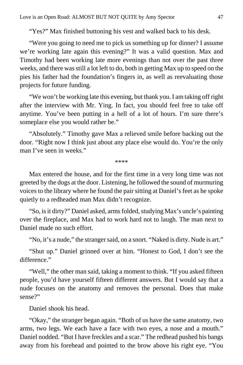"Yes?" Max finished buttoning his vest and walked back to his desk.

"Were you going to need me to pick us something up for dinner? I assume we're working late again this evening?" It was a valid question. Max and Timothy had been working late more evenings than not over the past three weeks, and there was still a lot left to do, both in getting Max up to speed on the pies his father had the foundation's fingers in, as well as reevaluating those projects for future funding.

"We won't be working late this evening, but thank you. I am taking off right after the interview with Mr. Ying. In fact, you should feel free to take off anytime. You've been putting in a hell of a lot of hours. I'm sure there's someplace else you would rather be."

"Absolutely." Timothy gave Max a relieved smile before backing out the door. "Right now I think just about any place else would do. You're the only man I've seen in weeks."

\*\*\*\*

Max entered the house, and for the first time in a very long time was not greeted by the dogs at the door. Listening, he followed the sound of murmuring voices to the library where he found the pair sitting at Daniel's feet as he spoke quietly to a redheaded man Max didn't recognize.

"So, is it dirty?" Daniel asked, arms folded, studying Max's uncle's painting over the fireplace, and Max had to work hard not to laugh. The man next to Daniel made no such effort.

"No, it's a nude," the stranger said, on a snort. "Naked is dirty. Nude is art."

"Shut up." Daniel grinned over at him. "Honest to God, I don't see the difference."

"Well," the other man said, taking a moment to think. "If you asked fifteen people, you'd have yourself fifteen different answers. But I would say that a nude focuses on the anatomy and removes the personal. Does that make sense?"

Daniel shook his head.

"Okay," the stranger began again. "Both of us have the same anatomy, two arms, two legs. We each have a face with two eyes, a nose and a mouth." Daniel nodded. "But I have freckles and a scar." The redhead pushed his bangs away from his forehead and pointed to the brow above his right eye. "You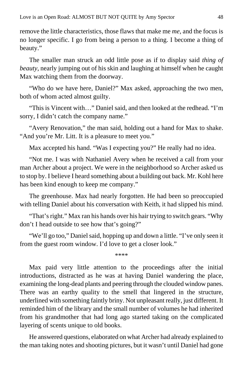remove the little characteristics, those flaws that make me *me*, and the focus is no longer specific. I go from being a person to a thing. I become a thing of beauty."

The smaller man struck an odd little pose as if to display said *thing of beauty*, nearly jumping out of his skin and laughing at himself when he caught Max watching them from the doorway.

"Who do we have here, Daniel?" Max asked, approaching the two men, both of whom acted almost guilty.

"This is Vincent with…" Daniel said, and then looked at the redhead. "I'm sorry, I didn't catch the company name."

"Avery Renovation," the man said, holding out a hand for Max to shake. "And you're Mr. Litt. It is a pleasure to meet you."

Max accepted his hand. "Was I expecting you?" He really had no idea.

"Not me. I was with Nathaniel Avery when he received a call from your man Archer about a project. We were in the neighborhood so Archer asked us to stop by. I believe I heard something about a building out back. Mr. Kohl here has been kind enough to keep me company."

The greenhouse. Max had nearly forgotten. He had been so preoccupied with telling Daniel about his conversation with Keith, it had slipped his mind.

"That's right." Max ran his hands over his hair trying to switch gears. "Why don't I head outside to see how that's going?"

"We'll go too," Daniel said, hopping up and down a little. "I've only seen it from the guest room window. I'd love to get a closer look."

\*\*\*\*

Max paid very little attention to the proceedings after the initial introductions, distracted as he was at having Daniel wandering the place, examining the long-dead plants and peering through the clouded window panes. There was an earthy quality to the smell that lingered in the structure, underlined with something faintly briny. Not unpleasant really, just different. It reminded him of the library and the small number of volumes he had inherited from his grandmother that had long ago started taking on the complicated layering of scents unique to old books.

He answered questions, elaborated on what Archer had already explained to the man taking notes and shooting pictures, but it wasn't until Daniel had gone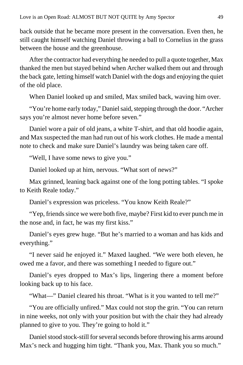back outside that he became more present in the conversation. Even then, he still caught himself watching Daniel throwing a ball to Cornelius in the grass between the house and the greenhouse.

After the contractor had everything he needed to pull a quote together, Max thanked the men but stayed behind when Archer walked them out and through the back gate, letting himself watch Daniel with the dogs and enjoying the quiet of the old place.

When Daniel looked up and smiled, Max smiled back, waving him over.

"You're home early today," Daniel said, stepping through the door. "Archer says you're almost never home before seven."

Daniel wore a pair of old jeans, a white T-shirt, and that old hoodie again, and Max suspected the man had run out of his work clothes. He made a mental note to check and make sure Daniel's laundry was being taken care off.

"Well, I have some news to give you."

Daniel looked up at him, nervous. "What sort of news?"

Max grinned, leaning back against one of the long potting tables. "I spoke to Keith Reale today."

Daniel's expression was priceless. "You know Keith Reale?"

"Yep, friends since we were both five, maybe? First kid to ever punch me in the nose and, in fact, he was my first kiss."

Daniel's eyes grew huge. "But he's married to a woman and has kids and everything."

"I never said he enjoyed it." Maxed laughed. "We were both eleven, he owed me a favor, and there was something I needed to figure out."

Daniel's eyes dropped to Max's lips, lingering there a moment before looking back up to his face.

"What—" Daniel cleared his throat. "What is it you wanted to tell me?"

"You are officially unfired." Max could not stop the grin. "You can return in nine weeks, not only with your position but with the chair they had already planned to give to you. They're going to hold it."

Daniel stood stock-still for several seconds before throwing his arms around Max's neck and hugging him tight. "Thank you, Max. Thank you so much."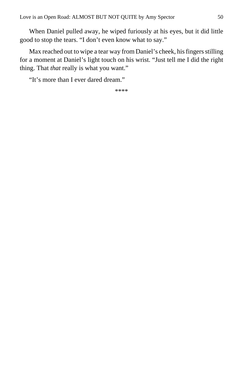When Daniel pulled away, he wiped furiously at his eyes, but it did little good to stop the tears. "I don't even know what to say."

Max reached out to wipe a tear way from Daniel's cheek, his fingers stilling for a moment at Daniel's light touch on his wrist. "Just tell me I did the right thing. That *that* really is what you want."

"It's more than I ever dared dream."

\*\*\*\*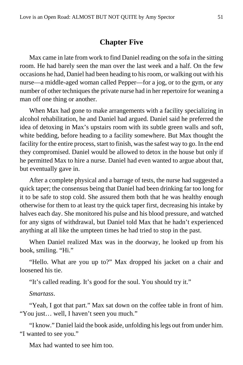### **Chapter Five**

Max came in late from work to find Daniel reading on the sofa in the sitting room. He had barely seen the man over the last week and a half. On the few occasions he had, Daniel had been heading to his room, or walking out with his nurse—a middle-aged woman called Pepper—for a jog, or to the gym, or any number of other techniques the private nurse had in her repertoire for weaning a man off one thing or another.

When Max had gone to make arrangements with a facility specializing in alcohol rehabilitation, he and Daniel had argued. Daniel said he preferred the idea of detoxing in Max's upstairs room with its subtle green walls and soft, white bedding, before heading to a facility somewhere. But Max thought the facility for the entire process, start to finish, was the safest way to go. In the end they compromised. Daniel would be allowed to detox in the house but only if he permitted Max to hire a nurse. Daniel had even wanted to argue about that, but eventually gave in.

After a complete physical and a barrage of tests, the nurse had suggested a quick taper; the consensus being that Daniel had been drinking far too long for it to be safe to stop cold. She assured them both that he was healthy enough otherwise for them to at least try the quick taper first, decreasing his intake by halves each day. She monitored his pulse and his blood pressure, and watched for any signs of withdrawal, but Daniel told Max that he hadn't experienced anything at all like the umpteen times he had tried to stop in the past.

When Daniel realized Max was in the doorway, he looked up from his book, smiling. "Hi."

"Hello. What are you up to?" Max dropped his jacket on a chair and loosened his tie.

"It's called reading. It's good for the soul. You should try it."

*Smartass*.

"Yeah, I got that part." Max sat down on the coffee table in front of him. "You just… well, I haven't seen you much."

"I know." Daniel laid the book aside, unfolding his legs out from under him. "I wanted to see you."

Max had wanted to see him too.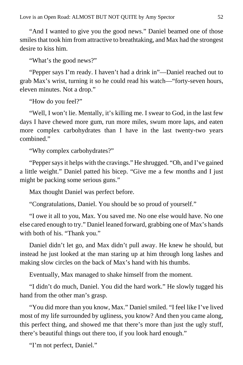"And I wanted to give you the good news." Daniel beamed one of those smiles that took him from attractive to breathtaking, and Max had the strongest desire to kiss him.

"What's the good news?"

"Pepper says I'm ready. I haven't had a drink in"—Daniel reached out to grab Max's wrist, turning it so he could read his watch—"forty-seven hours, eleven minutes. Not a drop."

"How do you feel?"

"Well, I won't lie. Mentally, it's killing me. I swear to God, in the last few days I have chewed more gum, run more miles, swum more laps, and eaten more complex carbohydrates than I have in the last twenty-two years combined."

"Why complex carbohydrates?"

"Pepper says it helps with the cravings." He shrugged. "Oh, and I've gained a little weight." Daniel patted his bicep. "Give me a few months and I just might be packing some serious guns."

Max thought Daniel was perfect before.

"Congratulations, Daniel. You should be so proud of yourself."

"I owe it all to you, Max. You saved me. No one else would have. No one else cared enough to try." Daniel leaned forward, grabbing one of Max's hands with both of his. "Thank you."

Daniel didn't let go, and Max didn't pull away. He knew he should, but instead he just looked at the man staring up at him through long lashes and making slow circles on the back of Max's hand with his thumbs.

Eventually, Max managed to shake himself from the moment.

"I didn't do much, Daniel. You did the hard work." He slowly tugged his hand from the other man's grasp.

"You did more than you know, Max." Daniel smiled. "I feel like I've lived most of my life surrounded by ugliness, you know? And then you came along, this perfect thing, and showed me that there's more than just the ugly stuff, there's beautiful things out there too, if you look hard enough."

"I'm not perfect, Daniel."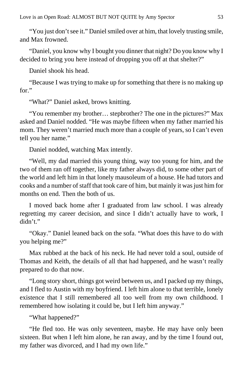"You just don't see it." Daniel smiled over at him, that lovely trusting smile, and Max frowned.

"Daniel, you know why I bought you dinner that night? Do you know why I decided to bring you here instead of dropping you off at that shelter?"

Daniel shook his head.

"Because I was trying to make up for something that there is no making up for."

"What?" Daniel asked, brows knitting.

"You remember my brother… stepbrother? The one in the pictures?" Max asked and Daniel nodded. "He was maybe fifteen when my father married his mom. They weren't married much more than a couple of years, so I can't even tell you her name."

Daniel nodded, watching Max intently.

"Well, my dad married this young thing, way too young for him, and the two of them ran off together, like my father always did, to some other part of the world and left him in that lonely mausoleum of a house. He had tutors and cooks and a number of staff that took care of him, but mainly it was just him for months on end. Then the both of us.

I moved back home after I graduated from law school. I was already regretting my career decision, and since I didn't actually have to work, I didn't."

"Okay." Daniel leaned back on the sofa. "What does this have to do with you helping me?"

Max rubbed at the back of his neck. He had never told a soul, outside of Thomas and Keith, the details of all that had happened, and he wasn't really prepared to do that now.

"Long story short, things got weird between us, and I packed up my things, and I fled to Austin with my boyfriend. I left him alone to that terrible, lonely existence that I still remembered all too well from my own childhood. I remembered how isolating it could be, but I left him anyway."

"What happened?"

"He fled too. He was only seventeen, maybe. He may have only been sixteen. But when I left him alone, he ran away, and by the time I found out, my father was divorced, and I had my own life."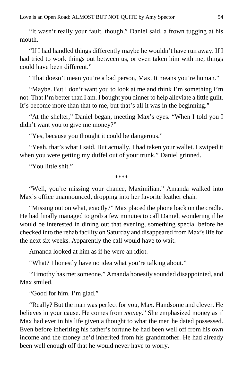"It wasn't really your fault, though," Daniel said, a frown tugging at his mouth.

"If I had handled things differently maybe he wouldn't have run away. If I had tried to work things out between us, or even taken him with me, things could have been different."

"That doesn't mean you're a bad person, Max. It means you're human."

"Maybe. But I don't want you to look at me and think I'm something I'm not. That I'm better than I am. I bought you dinner to help alleviate a little guilt. It's become more than that to me, but that's all it was in the beginning."

"At the shelter," Daniel began, meeting Max's eyes. "When I told you I didn't want you to give me money?"

"Yes, because you thought it could be dangerous."

"Yeah, that's what I said. But actually, I had taken your wallet. I swiped it when you were getting my duffel out of your trunk." Daniel grinned.

"You little shit."

\*\*\*\*

"Well, you're missing your chance, Maximilian." Amanda walked into Max's office unannounced, dropping into her favorite leather chair.

"Missing out on what, exactly?" Max placed the phone back on the cradle. He had finally managed to grab a few minutes to call Daniel, wondering if he would be interested in dining out that evening, something special before he checked into the rehab facility on Saturday and disappeared from Max's life for the next six weeks. Apparently the call would have to wait.

Amanda looked at him as if he were an idiot.

"What? I honestly have no idea what you're talking about."

"Timothy has met someone." Amanda honestly sounded disappointed, and Max smiled.

"Good for him. I'm glad."

"Really? But the man was perfect for you, Max. Handsome and clever. He believes in your cause. He comes from *money*." She emphasized money as if Max had ever in his life given a thought to what the men he dated possessed. Even before inheriting his father's fortune he had been well off from his own income and the money he'd inherited from his grandmother. He had already been well enough off that he would never have to worry.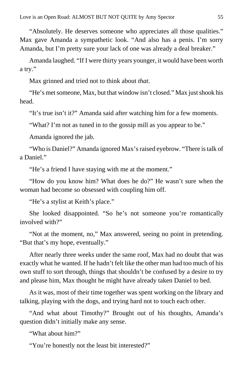"Absolutely. He deserves someone who appreciates all those qualities." Max gave Amanda a sympathetic look. "And also has a penis. I'm sorry Amanda, but I'm pretty sure your lack of one was already a deal breaker."

Amanda laughed. "If I were thirty years younger, it would have been worth a try."

Max grinned and tried not to think about *that*.

"He's met someone, Max, but that window isn't closed." Max just shook his head.

"It's true isn't it?" Amanda said after watching him for a few moments.

"What? I'm not as tuned in to the gossip mill as you appear to be."

Amanda ignored the jab.

"Who is Daniel?" Amanda ignored Max's raised eyebrow. "There is talk of a Daniel."

"He's a friend I have staying with me at the moment."

"How do you know him? What does he do?" He wasn't sure when the woman had become so obsessed with coupling him off.

"He's a stylist at Keith's place."

She looked disappointed. "So he's not someone you're romantically involved with?"

"Not at the moment, no," Max answered, seeing no point in pretending. "But that's my hope, eventually."

After nearly three weeks under the same roof, Max had no doubt that was exactly what he wanted. If he hadn't felt like the other man had too much of his own stuff to sort through, things that shouldn't be confused by a desire to try and please him, Max thought he might have already taken Daniel to bed.

As it was, most of their time together was spent working on the library and talking, playing with the dogs, and trying hard not to touch each other.

"And what about Timothy?" Brought out of his thoughts, Amanda's question didn't initially make any sense.

"What about him?"

"You're honestly not the least bit interested?"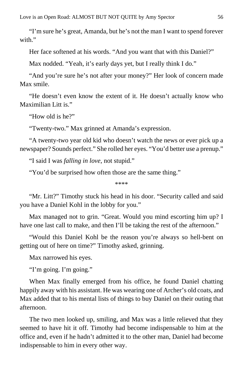"I'm sure he's great, Amanda, but he's not the man I want to spend forever with."

Her face softened at his words. "And you want that with this Daniel?"

Max nodded. "Yeah, it's early days yet, but I really think I do."

"And you're sure he's not after your money?" Her look of concern made Max smile.

"He doesn't even know the extent of it. He doesn't actually know who Maximilian Litt is."

"How old is he?"

"Twenty-two." Max grinned at Amanda's expression.

"A twenty-two year old kid who doesn't watch the news or ever pick up a newspaper? Sounds perfect." She rolled her eyes. "You'd better use a prenup."

"I said I was *falling in love*, not stupid."

"You'd be surprised how often those are the same thing."

\*\*\*\*

"Mr. Litt?" Timothy stuck his head in his door. "Security called and said you have a Daniel Kohl in the lobby for you."

Max managed not to grin. "Great. Would you mind escorting him up? I have one last call to make, and then I'll be taking the rest of the afternoon."

"Would this Daniel Kohl be the reason you're always so hell-bent on getting out of here on time?" Timothy asked, grinning.

Max narrowed his eyes.

"I'm going. I'm going."

When Max finally emerged from his office, he found Daniel chatting happily away with his assistant. He was wearing one of Archer's old coats, and Max added that to his mental lists of things to buy Daniel on their outing that afternoon.

The two men looked up, smiling, and Max was a little relieved that they seemed to have hit it off. Timothy had become indispensable to him at the office and, even if he hadn't admitted it to the other man, Daniel had become indispensable to him in every other way.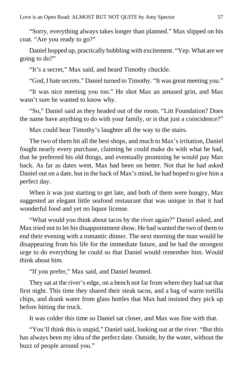"Sorry, everything always takes longer than planned." Max slipped on his coat. "Are you ready to go?"

Daniel hopped up, practically bubbling with excitement. "Yep. What are we going to do?"

"It's a secret," Max said, and heard Timothy chuckle.

"God, I hate secrets." Daniel turned to Timothy. "It was great meeting you."

"It was nice meeting you too." He shot Max an amused grin, and Max wasn't sure he wanted to know why.

"So," Daniel said as they headed out of the room. "Litt Foundation? Does the name have anything to do with your family, or is that just a coincidence?"

Max could hear Timothy's laughter all the way to the stairs.

The two of them hit all the best shops, and much to Max's irritation, Daniel fought nearly every purchase, claiming he could make do with what he had, that he preferred his old things, and eventually promising he would pay Max back. As far as dates went, Max had been on better. Not that he had asked Daniel out on a date, but in the back of Max's mind, he had hoped to give him a perfect day.

When it was just starting to get late, and both of them were hungry, Max suggested an elegant little seafood restaurant that was unique in that it had wonderful food and yet no liquor license.

"What would you think about tacos by the river again?" Daniel asked, and Max tried not to let his disappointment show. He had wanted the two of them to end their evening with a romantic dinner. The next morning the man would be disappearing from his life for the immediate future, and he had the strongest urge to do everything he could so that Daniel would remember him. Would think about him.

"If you prefer," Max said, and Daniel beamed.

They sat at the river's edge, on a bench not far from where they had sat that first night. This time they shared their steak tacos, and a bag of warm tortilla chips, and drank water from glass bottles that Max had insisted they pick up before hitting the truck.

It was colder this time so Daniel sat closer, and Max was fine with that.

"You'll think this is stupid," Daniel said, looking out at the river. "But this has always been my idea of the perfect date. Outside, by the water, without the buzz of people around you."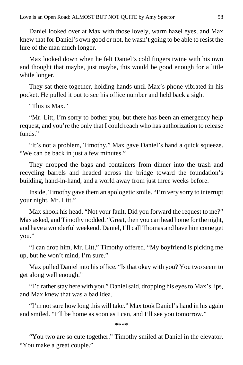Daniel looked over at Max with those lovely, warm hazel eyes, and Max knew that for Daniel's own good or not, he wasn't going to be able to resist the lure of the man much longer.

Max looked down when he felt Daniel's cold fingers twine with his own and thought that maybe, just maybe, this would be good enough for a little while longer.

They sat there together, holding hands until Max's phone vibrated in his pocket. He pulled it out to see his office number and held back a sigh.

"This is Max."

"Mr. Litt, I'm sorry to bother you, but there has been an emergency help request, and you're the only that I could reach who has authorization to release funds."

"It's not a problem, Timothy." Max gave Daniel's hand a quick squeeze. "We can be back in just a few minutes."

They dropped the bags and containers from dinner into the trash and recycling barrels and headed across the bridge toward the foundation's building, hand-in-hand, and a world away from just three weeks before.

Inside, Timothy gave them an apologetic smile. "I'm very sorry to interrupt your night, Mr. Litt."

Max shook his head. "Not your fault. Did you forward the request to me?" Max asked, and Timothy nodded. "Great, then you can head home for the night, and have a wonderful weekend. Daniel, I'll call Thomas and have him come get you."

"I can drop him, Mr. Litt," Timothy offered. "My boyfriend is picking me up, but he won't mind, I'm sure."

Max pulled Daniel into his office. "Is that okay with you? You two seem to get along well enough."

"I'd rather stay here with you," Daniel said, dropping his eyes to Max's lips, and Max knew that was a bad idea.

"I'm not sure how long this will take." Max took Daniel's hand in his again and smiled. "I'll be home as soon as I can, and I'll see you tomorrow."

\*\*\*\*

"You two are so cute together." Timothy smiled at Daniel in the elevator. "You make a great couple."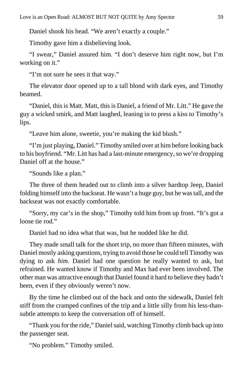Daniel shook his head. "We aren't exactly a couple."

Timothy gave him a disbelieving look.

"I swear," Daniel assured him. "I don't deserve him right now, but I'm working on it."

"I'm not sure he sees it that way."

The elevator door opened up to a tall blond with dark eyes, and Timothy beamed.

"Daniel, this is Matt. Matt, this is Daniel, a friend of Mr. Litt." He gave the guy a wicked smirk, and Matt laughed, leaning in to press a kiss to Timothy's lips.

"Leave him alone, sweetie, you're making the kid blush."

"I'm just playing, Daniel." Timothy smiled over at him before looking back to his boyfriend. "Mr. Litt has had a last-minute emergency, so we're dropping Daniel off at the house."

"Sounds like a plan."

The three of them headed out to climb into a silver hardtop Jeep, Daniel folding himself into the backseat. He wasn't a huge guy, but he was tall, and the backseat was not exactly comfortable.

"Sorry, my car's in the shop," Timothy told him from up front. "It's got a loose tie rod."

Daniel had no idea what that was, but he nodded like he did.

They made small talk for the short trip, no more than fifteen minutes, with Daniel mostly asking questions, trying to avoid those he could tell Timothy was dying to ask *him*. Daniel had one question he really wanted to ask, but refrained. He wanted know if Timothy and Max had ever been involved. The other man was attractive enough that Daniel found it hard to believe they hadn't been, even if they obviously weren't now.

By the time he climbed out of the back and onto the sidewalk, Daniel felt stiff from the cramped confines of the trip and a little silly from his less-thansubtle attempts to keep the conversation off of himself.

"Thank you for the ride," Daniel said, watching Timothy climb back up into the passenger seat.

"No problem." Timothy smiled.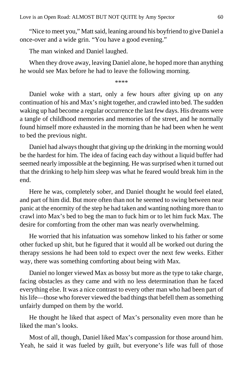"Nice to meet you," Matt said, leaning around his boyfriend to give Daniel a once-over and a wide grin. "You have a good evening."

The man winked and Daniel laughed.

When they drove away, leaving Daniel alone, he hoped more than anything he would see Max before he had to leave the following morning.

\*\*\*\*

Daniel woke with a start, only a few hours after giving up on any continuation of his and Max's night together, and crawled into bed. The sudden waking up had become a regular occurrence the last few days. His dreams were a tangle of childhood memories and memories of the street, and he normally found himself more exhausted in the morning than he had been when he went to bed the previous night.

Daniel had always thought that giving up the drinking in the morning would be the hardest for him. The idea of facing each day without a liquid buffer had seemed nearly impossible at the beginning. He was surprised when it turned out that the drinking to help him sleep was what he feared would break him in the end.

Here he was, completely sober, and Daniel thought he would feel elated, and part of him did. But more often than not he seemed to swing between near panic at the enormity of the step he had taken and wanting nothing more than to crawl into Max's bed to beg the man to fuck him or to let him fuck Max. The desire for comforting from the other man was nearly overwhelming.

He worried that his infatuation was somehow linked to his father or some other fucked up shit, but he figured that it would all be worked out during the therapy sessions he had been told to expect over the next few weeks. Either way, there was something comforting about being with Max.

Daniel no longer viewed Max as bossy but more as the type to take charge, facing obstacles as they came and with no less determination than he faced everything else. It was a nice contrast to every other man who had been part of his life—those who forever viewed the bad things that befell them as something unfairly dumped on them by the world.

He thought he liked that aspect of Max's personality even more than he liked the man's looks.

Most of all, though, Daniel liked Max's compassion for those around him. Yeah, he said it was fueled by guilt, but everyone's life was full of those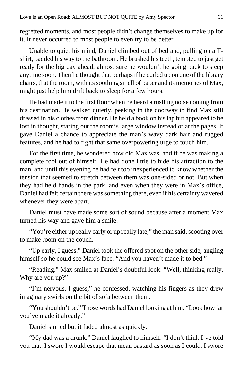regretted moments, and most people didn't change themselves to make up for it. It never occurred to most people to even try to be better.

Unable to quiet his mind, Daniel climbed out of bed and, pulling on a Tshirt, padded his way to the bathroom. He brushed his teeth, tempted to just get ready for the big day ahead, almost sure he wouldn't be going back to sleep anytime soon. Then he thought that perhaps if he curled up on one of the library chairs, that the room, with its soothing smell of paper and its memories of Max, might just help him drift back to sleep for a few hours.

He had made it to the first floor when he heard a rustling noise coming from his destination. He walked quietly, peeking in the doorway to find Max still dressed in his clothes from dinner. He held a book on his lap but appeared to be lost in thought, staring out the room's large window instead of at the pages. It gave Daniel a chance to appreciate the man's wavy dark hair and rugged features, and he had to fight that same overpowering urge to touch him.

For the first time, he wondered how old Max was, and if he was making a complete fool out of himself. He had done little to hide his attraction to the man, and until this evening he had felt too inexperienced to know whether the tension that seemed to stretch between them was one-sided or not. But when they had held hands in the park, and even when they were in Max's office, Daniel had felt certain there was something there, even if his certainty wavered whenever they were apart.

Daniel must have made some sort of sound because after a moment Max turned his way and gave him a smile.

"You're either up really early or up really late," the man said, scooting over to make room on the couch.

"Up early, I guess." Daniel took the offered spot on the other side, angling himself so he could see Max's face. "And you haven't made it to bed."

"Reading." Max smiled at Daniel's doubtful look. "Well, thinking really. Why are you up?"

"I'm nervous, I guess," he confessed, watching his fingers as they drew imaginary swirls on the bit of sofa between them.

"You shouldn't be." Those words had Daniel looking at him. "Look how far you've made it already."

Daniel smiled but it faded almost as quickly.

"My dad was a drunk." Daniel laughed to himself. "I don't think I've told you that. I swore I would escape that mean bastard as soon as I could. I swore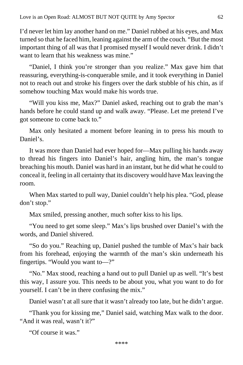I'd never let him lay another hand on me." Daniel rubbed at his eyes, and Max turned so that he faced him, leaning against the arm of the couch. "But the most important thing of all was that I promised myself I would never drink. I didn't want to learn that his weakness was mine."

"Daniel, I think you're stronger than you realize." Max gave him that reassuring, everything-is-conquerable smile, and it took everything in Daniel not to reach out and stroke his fingers over the dark stubble of his chin, as if somehow touching Max would make his words true.

"Will you kiss me, Max?" Daniel asked, reaching out to grab the man's hands before he could stand up and walk away. "Please. Let me pretend I've got someone to come back to."

Max only hesitated a moment before leaning in to press his mouth to Daniel's

It was more than Daniel had ever hoped for—Max pulling his hands away to thread his fingers into Daniel's hair, angling him, the man's tongue breaching his mouth. Daniel was hard in an instant, but he did what he could to conceal it, feeling in all certainty that its discovery would have Max leaving the room.

When Max started to pull way, Daniel couldn't help his plea. "God, please don't stop."

Max smiled, pressing another, much softer kiss to his lips.

"You need to get some sleep." Max's lips brushed over Daniel's with the words, and Daniel shivered.

"So do you." Reaching up, Daniel pushed the tumble of Max's hair back from his forehead, enjoying the warmth of the man's skin underneath his fingertips. "Would you want to—?"

"No." Max stood, reaching a hand out to pull Daniel up as well. "It's best this way, I assure you. This needs to be about you, what you want to do for yourself. I can't be in there confusing the mix."

Daniel wasn't at all sure that it wasn't already too late, but he didn't argue.

"Thank you for kissing me," Daniel said, watching Max walk to the door. "And it was real, wasn't it?"

"Of course it was."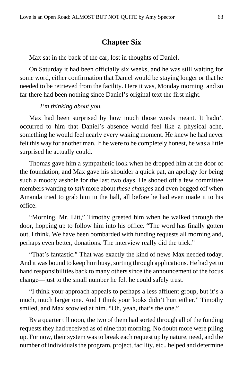# **Chapter Six**

Max sat in the back of the car, lost in thoughts of Daniel.

On Saturday it had been officially six weeks, and he was still waiting for some word, either confirmation that Daniel would be staying longer or that he needed to be retrieved from the facility. Here it was, Monday morning, and so far there had been nothing since Daniel's original text the first night.

### *I'm thinking about you.*

Max had been surprised by how much those words meant. It hadn't occurred to him that Daniel's absence would feel like a physical ache, something he would feel nearly every waking moment. He knew he had never felt this way for another man. If he were to be completely honest, he was a little surprised he actually could.

Thomas gave him a sympathetic look when he dropped him at the door of the foundation, and Max gave his shoulder a quick pat, an apology for being such a moody asshole for the last two days. He shooed off a few committee members wanting to *talk* more about *these changes* and even begged off when Amanda tried to grab him in the hall, all before he had even made it to his office.

"Morning, Mr. Litt," Timothy greeted him when he walked through the door, hopping up to follow him into his office. "The word has finally gotten out, I think. We have been bombarded with funding requests all morning and, perhaps even better, donations. The interview really did the trick."

"That's fantastic." That was exactly the kind of news Max needed today. And it was bound to keep him busy, sorting through applications. He had yet to hand responsibilities back to many others since the announcement of the focus change—just to the small number he felt he could safely trust.

"I think your approach appeals to perhaps a less affluent group, but it's a much, much larger one. And I think your looks didn't hurt either." Timothy smiled, and Max scowled at him. "Oh, yeah, that's the one."

By a quarter till noon, the two of them had sorted through all of the funding requests they had received as of nine that morning. No doubt more were piling up. For now, their system was to break each request up by nature, need, and the number of individuals the program, project, facility, etc., helped and determine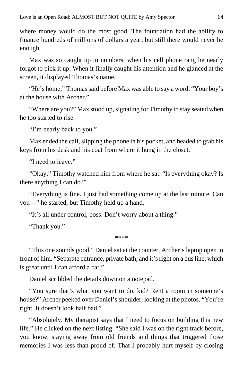where money would do the most good. The foundation had the ability to finance hundreds of millions of dollars a year, but still there would never be enough.

Max was so caught up in numbers, when his cell phone rang he nearly forgot to pick it up. When it finally caught his attention and he glanced at the screen, it displayed Thomas's name.

"He's home," Thomas said before Max was able to say a word. "Your boy's at the house with Archer."

"Where are you?" Max stood up, signaling for Timothy to stay seated when he too started to rise.

"I'm nearly back to you."

Max ended the call, slipping the phone in his pocket, and headed to grab his keys from his desk and his coat from where it hung in the closet.

"I need to leave."

"Okay." Timothy watched him from where he sat. "Is everything okay? Is there anything I can do?"

"Everything is fine. I just had something come up at the last minute. Can you—" he started, but Timothy held up a hand.

"It's all under control, boss. Don't worry about a thing."

"Thank you."

\*\*\*\*

"This one sounds good." Daniel sat at the counter, Archer's laptop open in front of him. "Separate entrance, private bath, and it's right on a bus line, which is great until I can afford a car."

Daniel scribbled the details down on a notepad.

"You sure that's what you want to do, kid? Rent a room in someone's house?" Archer peeked over Daniel's shoulder, looking at the photos. "You're right. It doesn't look half bad."

"Absolutely. My therapist says that I need to focus on building this new life." He clicked on the next listing. "She said I was on the right track before, you know, staying away from old friends and things that triggered those memories I was less than proud of. That I probably hurt myself by closing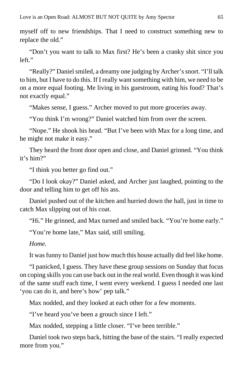myself off to new friendships. That I need to construct something new to replace the old."

"Don't you want to talk to Max first? He's been a cranky shit since you  $left"$ 

"Really?" Daniel smiled, a dreamy one judging by Archer's snort. "I'll talk to him, but I have to do this. If I really want something with him, we need to be on a more equal footing. Me living in his guestroom, eating his food? That's not exactly equal."

"Makes sense, I guess." Archer moved to put more groceries away.

"You think I'm wrong?" Daniel watched him from over the screen.

"Nope." He shook his head. "But I've been with Max for a long time, and he might not make it easy."

They heard the front door open and close, and Daniel grinned. "You think it's him?"

"I think you better go find out."

"Do I look okay?" Daniel asked, and Archer just laughed, pointing to the door and telling him to get off his ass.

Daniel pushed out of the kitchen and hurried down the hall, just in time to catch Max slipping out of his coat.

"Hi." He grinned, and Max turned and smiled back. "You're home early."

"You're home late," Max said, still smiling.

*Home.*

It was funny to Daniel just how much this house actually did feel like home.

"I panicked, I guess. They have these group sessions on Sunday that focus on coping skills you can use back out in the real world. Even though it was kind of the same stuff each time, I went every weekend. I guess I needed one last 'you can do it, and here's how' pep talk."

Max nodded, and they looked at each other for a few moments.

"I've heard you've been a grouch since I left."

Max nodded, stepping a little closer. "I've been terrible."

Daniel took two steps back, hitting the base of the stairs. "I really expected more from you."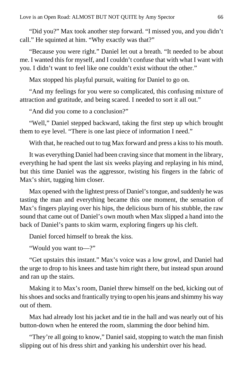"Did you?" Max took another step forward. "I missed you, and you didn't call." He squinted at him. "Why exactly was that?"

"Because you were right." Daniel let out a breath. "It needed to be about me. I wanted this for myself, and I couldn't confuse that with what I want with you. I didn't want to feel like one couldn't exist without the other."

Max stopped his playful pursuit, waiting for Daniel to go on.

"And my feelings for you were so complicated, this confusing mixture of attraction and gratitude, and being scared. I needed to sort it all out."

"And did you come to a conclusion?"

"Well," Daniel stepped backward, taking the first step up which brought them to eye level. "There is one last piece of information I need."

With that, he reached out to tug Max forward and press a kiss to his mouth.

It was everything Daniel had been craving since that moment in the library, everything he had spent the last six weeks playing and replaying in his mind, but this time Daniel was the aggressor, twisting his fingers in the fabric of Max's shirt, tugging him closer.

Max opened with the lightest press of Daniel's tongue, and suddenly he was tasting the man and everything became this one moment, the sensation of Max's fingers playing over his hips, the delicious burn of his stubble, the raw sound that came out of Daniel's own mouth when Max slipped a hand into the back of Daniel's pants to skim warm, exploring fingers up his cleft.

Daniel forced himself to break the kiss.

"Would you want to—?"

"Get upstairs this instant." Max's voice was a low growl, and Daniel had the urge to drop to his knees and taste him right there, but instead spun around and ran up the stairs.

Making it to Max's room, Daniel threw himself on the bed, kicking out of his shoes and socks and frantically trying to open his jeans and shimmy his way out of them.

Max had already lost his jacket and tie in the hall and was nearly out of his button-down when he entered the room, slamming the door behind him.

"They're all going to know," Daniel said, stopping to watch the man finish slipping out of his dress shirt and yanking his undershirt over his head.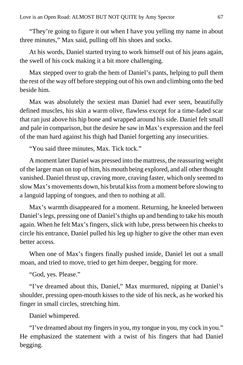"They're going to figure it out when I have you yelling my name in about three minutes," Max said, pulling off his shoes and socks.

At his words, Daniel started trying to work himself out of his jeans again, the swell of his cock making it a bit more challenging.

Max stepped over to grab the hem of Daniel's pants, helping to pull them the rest of the way off before stepping out of his own and climbing onto the bed beside him.

Max was absolutely the sexiest man Daniel had ever seen, beautifully defined muscles, his skin a warm olive, flawless except for a time-faded scar that ran just above his hip bone and wrapped around his side. Daniel felt small and pale in comparison, but the desire he saw in Max's expression and the feel of the man hard against his thigh had Daniel forgetting any insecurities.

"You said three minutes, Max. Tick tock."

A moment later Daniel was pressed into the mattress, the reassuring weight of the larger man on top of him, his mouth being explored, and all other thought vanished. Daniel thrust up, craving more, craving faster, which only seemed to slow Max's movements down, his brutal kiss from a moment before slowing to a languid lapping of tongues, and then to nothing at all.

Max's warmth disappeared for a moment. Returning, he kneeled between Daniel's legs, pressing one of Daniel's thighs up and bending to take his mouth again. When he felt Max's fingers, slick with lube, press between his cheeks to circle his entrance, Daniel pulled his leg up higher to give the other man even better access.

When one of Max's fingers finally pushed inside, Daniel let out a small moan, and tried to move, tried to get him deeper, begging for more.

"God, yes. Please."

"I've dreamed about this, Daniel," Max murmured, nipping at Daniel's shoulder, pressing open-mouth kisses to the side of his neck, as he worked his finger in small circles, stretching him.

Daniel whimpered.

"I've dreamed about my fingers in you, my tongue in you, my cock in you." He emphasized the statement with a twist of his fingers that had Daniel begging.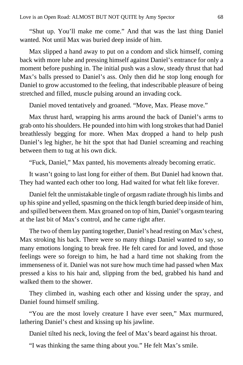"Shut up. You'll make me come." And that was the last thing Daniel wanted. Not until Max was buried deep inside of him.

Max slipped a hand away to put on a condom and slick himself, coming back with more lube and pressing himself against Daniel's entrance for only a moment before pushing in. The initial push was a slow, steady thrust that had Max's balls pressed to Daniel's ass. Only then did he stop long enough for Daniel to grow accustomed to the feeling, that indescribable pleasure of being stretched and filled, muscle pulsing around an invading cock.

Daniel moved tentatively and groaned. "Move, Max. Please move."

Max thrust hard, wrapping his arms around the back of Daniel's arms to grab onto his shoulders. He pounded into him with long strokes that had Daniel breathlessly begging for more. When Max dropped a hand to help push Daniel's leg higher, he hit the spot that had Daniel screaming and reaching between them to tug at his own dick.

"Fuck, Daniel," Max panted, his movements already becoming erratic.

It wasn't going to last long for either of them. But Daniel had known that. They had wanted each other too long. Had waited for what felt like forever.

Daniel felt the unmistakable tingle of orgasm radiate through his limbs and up his spine and yelled, spasming on the thick length buried deep inside of him, and spilled between them. Max groaned on top of him, Daniel's orgasm tearing at the last bit of Max's control, and he came right after.

The two of them lay panting together, Daniel's head resting on Max's chest, Max stroking his back. There were so many things Daniel wanted to say, so many emotions longing to break free. He felt cared for and loved, and those feelings were so foreign to him, he had a hard time not shaking from the immenseness of it. Daniel was not sure how much time had passed when Max pressed a kiss to his hair and, slipping from the bed, grabbed his hand and walked them to the shower.

They climbed in, washing each other and kissing under the spray, and Daniel found himself smiling.

"You are the most lovely creature I have ever seen," Max murmured, lathering Daniel's chest and kissing up his jawline.

Daniel tilted his neck, loving the feel of Max's beard against his throat.

"I was thinking the same thing about you." He felt Max's smile.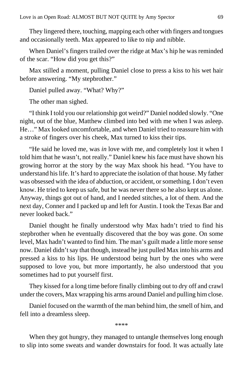They lingered there, touching, mapping each other with fingers and tongues and occasionally teeth. Max appeared to like to nip and nibble.

When Daniel's fingers trailed over the ridge at Max's hip he was reminded of the scar. "How did you get this?"

Max stilled a moment, pulling Daniel close to press a kiss to his wet hair before answering. "My stepbrother."

Daniel pulled away. "What? Why?"

The other man sighed.

"I think I told you our relationship got weird?" Daniel nodded slowly. "One night, out of the blue, Matthew climbed into bed with me when I was asleep. He…" Max looked uncomfortable, and when Daniel tried to reassure him with a stroke of fingers over his cheek, Max turned to kiss their tips.

"He said he loved me, was *in* love with me, and completely lost it when I told him that he wasn't, not really." Daniel knew his face must have shown his growing horror at the story by the way Max shook his head. "You have to understand his life. It's hard to appreciate the isolation of that house. My father was obsessed with the idea of abduction, or accident, or something. I don't even know. He tried to keep us safe, but he was never there so he also kept us alone. Anyway, things got out of hand, and I needed stitches, a lot of them. And the next day, Conner and I packed up and left for Austin. I took the Texas Bar and never looked back."

Daniel thought he finally understood why Max hadn't tried to find his stepbrother when he eventually discovered that the boy was gone. On some level, Max hadn't wanted to find him. The man's guilt made a little more sense now. Daniel didn't say that though, instead he just pulled Max into his arms and pressed a kiss to his lips. He understood being hurt by the ones who were supposed to love you, but more importantly, he also understood that you sometimes had to put yourself first.

They kissed for a long time before finally climbing out to dry off and crawl under the covers, Max wrapping his arms around Daniel and pulling him close.

Daniel focused on the warmth of the man behind him, the smell of him, and fell into a dreamless sleep.

\*\*\*\*

When they got hungry, they managed to untangle themselves long enough to slip into some sweats and wander downstairs for food. It was actually late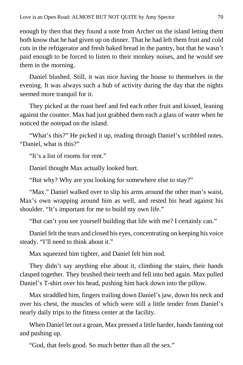enough by then that they found a note from Archer on the island letting them both know that he had given up on dinner. That he had left them fruit and cold cuts in the refrigerator and fresh baked bread in the pantry, but that he wasn't paid enough to be forced to listen to their monkey noises, and he would see them in the morning.

Daniel blushed. Still, it was nice having the house to themselves in the evening. It was always such a hub of activity during the day that the nights seemed more tranquil for it.

They picked at the roast beef and fed each other fruit and kissed, leaning against the counter. Max had just grabbed them each a glass of water when he noticed the notepad on the island.

"What's this?" He picked it up, reading through Daniel's scribbled notes. "Daniel, what is this?"

"It's a list of rooms for rent."

Daniel thought Max actually looked hurt.

"But why? Why are you looking for somewhere else to stay?"

"Max." Daniel walked over to slip his arms around the other man's waist, Max's own wrapping around him as well, and rested his head against his shoulder. "It's important for me to build my own life."

"But can't you see yourself building that life with me? I certainly can."

Daniel felt the tears and closed his eyes, concentrating on keeping his voice steady. "I'll need to think about it."

Max squeezed him tighter, and Daniel felt him nod.

They didn't say anything else about it, climbing the stairs, their hands clasped together. They brushed their teeth and fell into bed again. Max pulled Daniel's T-shirt over his head, pushing him back down into the pillow.

Max straddled him, fingers trailing down Daniel's jaw, down his neck and over his chest, the muscles of which were still a little tender from Daniel's nearly daily trips to the fitness center at the facility.

When Daniel let out a groan, Max pressed a little harder, hands fanning out and pushing up.

"God, that feels good. So much better than all the sex."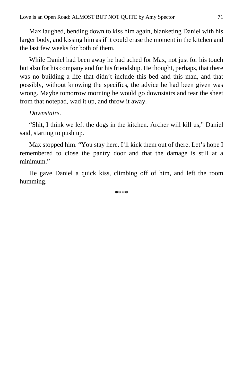Max laughed, bending down to kiss him again, blanketing Daniel with his larger body, and kissing him as if it could erase the moment in the kitchen and the last few weeks for both of them.

While Daniel had been away he had ached for Max, not just for his touch but also for his company and for his friendship. He thought, perhaps, that there was no building a life that didn't include this bed and this man, and that possibly, without knowing the specifics, the advice he had been given was wrong. Maybe tomorrow morning he would go downstairs and tear the sheet from that notepad, wad it up, and throw it away.

#### *Downstairs.*

"Shit, I think we left the dogs in the kitchen. Archer will kill us," Daniel said, starting to push up.

Max stopped him. "You stay here. I'll kick them out of there. Let's hope I remembered to close the pantry door and that the damage is still at a minimum."

He gave Daniel a quick kiss, climbing off of him, and left the room humming.

\*\*\*\*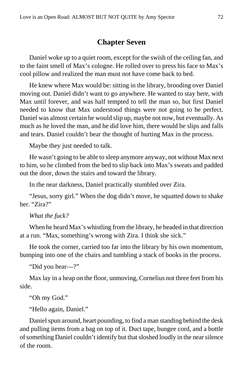# **Chapter Seven**

Daniel woke up to a quiet room, except for the swish of the ceiling fan, and to the faint smell of Max's cologne. He rolled over to press his face to Max's cool pillow and realized the man must not have come back to bed.

He knew where Max would be: sitting in the library, brooding over Daniel moving out. Daniel didn't want to go anywhere. He wanted to stay here, with Max until forever, and was half tempted to tell the man so, but first Daniel needed to know that Max understood things were not going to be perfect. Daniel was almost certain he would slip up, maybe not now, but eventually. As much as he loved the man, and he did love him, there would be slips and falls and tears. Daniel couldn't bear the thought of hurting Max in the process.

Maybe they just needed to talk.

He wasn't going to be able to sleep anymore anyway, not without Max next to him, so he climbed from the bed to slip back into Max's sweats and padded out the door, down the stairs and toward the library.

In the near darkness, Daniel practically stumbled over Zira.

"Jesus, sorry girl." When the dog didn't move, he squatted down to shake her. "Zira?"

*What the fuck?*

When he heard Max's whistling from the library, he headed in that direction at a run. "Max, something's wrong with Zira. I think she sick."

He took the corner, carried too far into the library by his own momentum, bumping into one of the chairs and tumbling a stack of books in the process.

"Did you hear—?"

Max lay in a heap on the floor, unmoving, Cornelius not three feet from his side.

"Oh my God."

"Hello again, Daniel."

Daniel spun around, heart pounding, to find a man standing behind the desk and pulling items from a bag on top of it. Duct tape, bungee cord, and a bottle of something Daniel couldn't identify but that sloshed loudly in the near silence of the room.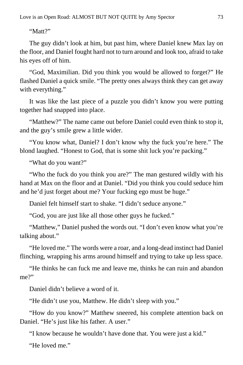"Matt?"

The guy didn't look at him, but past him, where Daniel knew Max lay on the floor, and Daniel fought hard not to turn around and look too, afraid to take his eyes off of him.

"God, Maximilian. Did you think you would be allowed to forget?" He flashed Daniel a quick smile. "The pretty ones always think they can get away with everything."

It was like the last piece of a puzzle you didn't know you were putting together had snapped into place.

"Matthew?" The name came out before Daniel could even think to stop it, and the guy's smile grew a little wider.

"You know what, Daniel? I don't know why the fuck you're here." The blond laughed. "Honest to God, that is some shit luck you're packing."

"What do you want?"

"Who the fuck do you think you are?" The man gestured wildly with his hand at Max on the floor and at Daniel. "Did you think you could seduce him and he'd just forget about me? Your fucking ego must be huge."

Daniel felt himself start to shake. "I didn't seduce anyone."

"God, you are just like all those other guys he fucked."

"Matthew," Daniel pushed the words out. "I don't even know what you're talking about."

"He loved me." The words were a roar, and a long-dead instinct had Daniel flinching, wrapping his arms around himself and trying to take up less space.

"He thinks he can fuck me and leave me, thinks he can ruin and abandon me?"

Daniel didn't believe a word of it.

"He didn't use you, Matthew. He didn't sleep with you."

"How do you know?" Matthew sneered, his complete attention back on Daniel. "He's just like his father. A user."

"I know because he wouldn't have done that. You were just a kid."

"He loved me."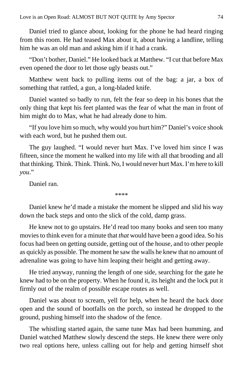Daniel tried to glance about, looking for the phone he had heard ringing from this room. He had teased Max about it, about having a landline, telling him he was an old man and asking him if it had a crank.

"Don't bother, Daniel." He looked back at Matthew. "I cut that before Max even opened the door to let those ugly beasts out."

Matthew went back to pulling items out of the bag: a jar, a box of something that rattled, a gun, a long-bladed knife.

Daniel wanted so badly to run, felt the fear so deep in his bones that the only thing that kept his feet planted was the fear of what the man in front of him might do to Max, what he had already done to him.

"If you love him so much, why would you hurt him?" Daniel's voice shook with each word, but he pushed them out.

The guy laughed. "I would never hurt Max. I've loved him since I was fifteen, since the moment he walked into my life with all that brooding and all that thinking. Think. Think. Think. No, I would never hurt Max. I'm here to kill *you*."

Daniel ran.

\*\*\*\*

Daniel knew he'd made a mistake the moment he slipped and slid his way down the back steps and onto the slick of the cold, damp grass.

He knew not to go upstairs. He'd read too many books and seen too many movies to think even for a minute that *that* would have been a good idea. So his focus had been on getting outside, getting out of the house, and to other people as quickly as possible. The moment he saw the walls he knew that no amount of adrenaline was going to have him leaping their height and getting away.

He tried anyway, running the length of one side, searching for the gate he knew had to be on the property. When he found it, its height and the lock put it firmly out of the realm of possible escape routes as well.

Daniel was about to scream, yell for help, when he heard the back door open and the sound of bootfalls on the porch, so instead he dropped to the ground, pushing himself into the shadow of the fence.

The whistling started again, the same tune Max had been humming, and Daniel watched Matthew slowly descend the steps. He knew there were only two real options here, unless calling out for help and getting himself shot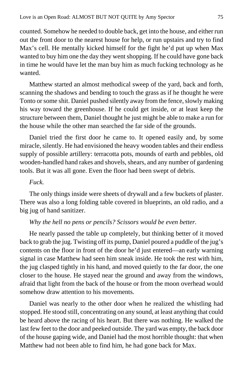counted. Somehow he needed to double back, get into the house, and either run out the front door to the nearest house for help, or run upstairs and try to find Max's cell. He mentally kicked himself for the fight he'd put up when Max wanted to buy him one the day they went shopping. If he could have gone back in time he would have let the man buy him as much fucking technology as he wanted.

Matthew started an almost methodical sweep of the yard, back and forth, scanning the shadows and bending to touch the grass as if he thought he were Tonto or some shit. Daniel pushed silently away from the fence, slowly making his way toward the greenhouse. If he could get inside, or at least keep the structure between them, Daniel thought he just might be able to make a run for the house while the other man searched the far side of the grounds.

Daniel tried the first door he came to. It opened easily and, by some miracle, silently. He had envisioned the heavy wooden tables and their endless supply of possible artillery: terracotta pots, mounds of earth and pebbles, old wooden-handled hand rakes and shovels, shears, and any number of gardening tools. But it was all gone. Even the floor had been swept of debris.

### *Fuck.*

The only things inside were sheets of drywall and a few buckets of plaster. There was also a long folding table covered in blueprints, an old radio, and a big jug of hand sanitizer.

#### *Why the hell no pens or pencils? Scissors would be even better.*

He nearly passed the table up completely, but thinking better of it moved back to grab the jug. Twisting off its pump, Daniel poured a puddle of the jug's contents on the floor in front of the door he'd just entered—an early warning signal in case Matthew had seen him sneak inside. He took the rest with him, the jug clasped tightly in his hand, and moved quietly to the far door, the one closer to the house. He stayed near the ground and away from the windows, afraid that light from the back of the house or from the moon overhead would somehow draw attention to his movements.

Daniel was nearly to the other door when he realized the whistling had stopped. He stood still, concentrating on any sound, at least anything that could be heard above the racing of his heart. But there was nothing. He walked the last few feet to the door and peeked outside. The yard was empty, the back door of the house gaping wide, and Daniel had the most horrible thought: that when Matthew had not been able to find him, he had gone back for Max.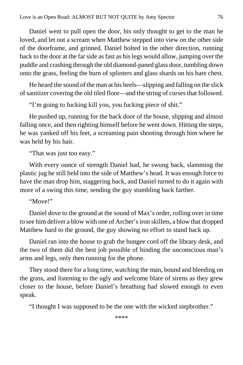Daniel went to pull open the door, his only thought to get to the man he loved, and let out a scream when Matthew stepped into view on the other side of the doorframe, and grinned. Daniel bolted in the other direction, running back to the door at the far side as fast as his legs would allow, jumping over the puddle and crashing through the old diamond-paned glass door, tumbling down onto the grass, feeling the burn of splinters and glass shards on his bare chest.

He heard the sound of the man at his heels—slipping and falling on the slick of sanitizer covering the old tiled floor—and the string of curses that followed.

"I'm going to fucking kill you, you fucking piece of shit."

He pushed up, running for the back door of the house, slipping and almost falling once, and then righting himself before he went down. Hitting the steps, he was yanked off his feet, a screaming pain shooting through him where he was held by his hair.

"That was just too easy."

With every ounce of strength Daniel had, he swung back, slamming the plastic jug he still held into the side of Matthew's head. It was enough force to have the man drop him, staggering back, and Daniel turned to do it again with more of a swing this time, sending the guy stumbling back farther.

"Move!"

Daniel dove to the ground at the sound of Max's order, rolling over in time to see him deliver a blow with one of Archer's iron skillets, a blow that dropped Matthew hard to the ground, the guy showing no effort to stand back up.

Daniel ran into the house to grab the bungee cord off the library desk, and the two of them did the best job possible of binding the unconscious man's arms and legs, only then running for the phone.

They stood there for a long time, watching the man, bound and bleeding on the grass, and listening to the ugly and welcome blare of sirens as they grew closer to the house, before Daniel's breathing had slowed enough to even speak.

"I thought I was supposed to be the one with the wicked stepbrother."

\*\*\*\*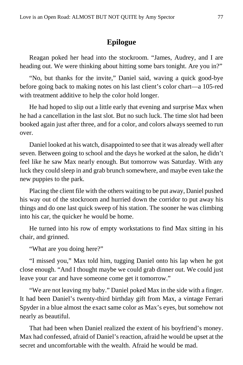### **Epilogue**

Reagan poked her head into the stockroom. "James, Audrey, and I are heading out. We were thinking about hitting some bars tonight. Are you in?"

"No, but thanks for the invite," Daniel said, waving a quick good-bye before going back to making notes on his last client's color chart—a 105-red with treatment additive to help the color hold longer.

He had hoped to slip out a little early that evening and surprise Max when he had a cancellation in the last slot. But no such luck. The time slot had been booked again just after three, and for a color, and colors always seemed to run over.

Daniel looked at his watch, disappointed to see that it was already well after seven. Between going to school and the days he worked at the salon, he didn't feel like he saw Max nearly enough. But tomorrow was Saturday. With any luck they could sleep in and grab brunch somewhere, and maybe even take the new puppies to the park.

Placing the client file with the others waiting to be put away, Daniel pushed his way out of the stockroom and hurried down the corridor to put away his things and do one last quick sweep of his station. The sooner he was climbing into his car, the quicker he would be home.

He turned into his row of empty workstations to find Max sitting in his chair, and grinned.

"What are you doing here?"

"I missed you," Max told him, tugging Daniel onto his lap when he got close enough. "And I thought maybe we could grab dinner out. We could just leave your car and have someone come get it tomorrow."

"We are not leaving my baby." Daniel poked Max in the side with a finger. It had been Daniel's twenty-third birthday gift from Max, a vintage Ferrari Spyder in a blue almost the exact same color as Max's eyes, but somehow not nearly as beautiful.

That had been when Daniel realized the extent of his boyfriend's money. Max had confessed, afraid of Daniel's reaction, afraid he would be upset at the secret and uncomfortable with the wealth. Afraid he would be mad.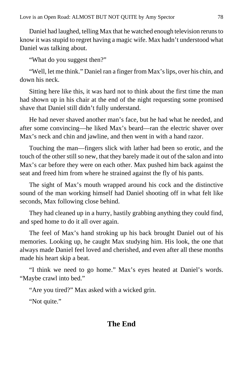Daniel had laughed, telling Max that he watched enough television reruns to know it was stupid to regret having a magic wife. Max hadn't understood what Daniel was talking about.

"What do you suggest then?"

"Well, let me think." Daniel ran a finger from Max's lips, over his chin, and down his neck.

Sitting here like this, it was hard not to think about the first time the man had shown up in his chair at the end of the night requesting some promised shave that Daniel still didn't fully understand.

He had never shaved another man's face, but he had what he needed, and after some convincing—he liked Max's beard—ran the electric shaver over Max's neck and chin and jawline, and then went in with a hand razor.

Touching the man—fingers slick with lather had been so erotic, and the touch of the other still so new, that they barely made it out of the salon and into Max's car before they were on each other. Max pushed him back against the seat and freed him from where he strained against the fly of his pants.

The sight of Max's mouth wrapped around his cock and the distinctive sound of the man working himself had Daniel shooting off in what felt like seconds, Max following close behind.

They had cleaned up in a hurry, hastily grabbing anything they could find, and sped home to do it all over again.

The feel of Max's hand stroking up his back brought Daniel out of his memories. Looking up, he caught Max studying him. His look, the one that always made Daniel feel loved and cherished, and even after all these months made his heart skip a beat.

"I think we need to go home." Max's eyes heated at Daniel's words. "Maybe crawl into bed."

"Are you tired?" Max asked with a wicked grin.

"Not quite."

# **The End**